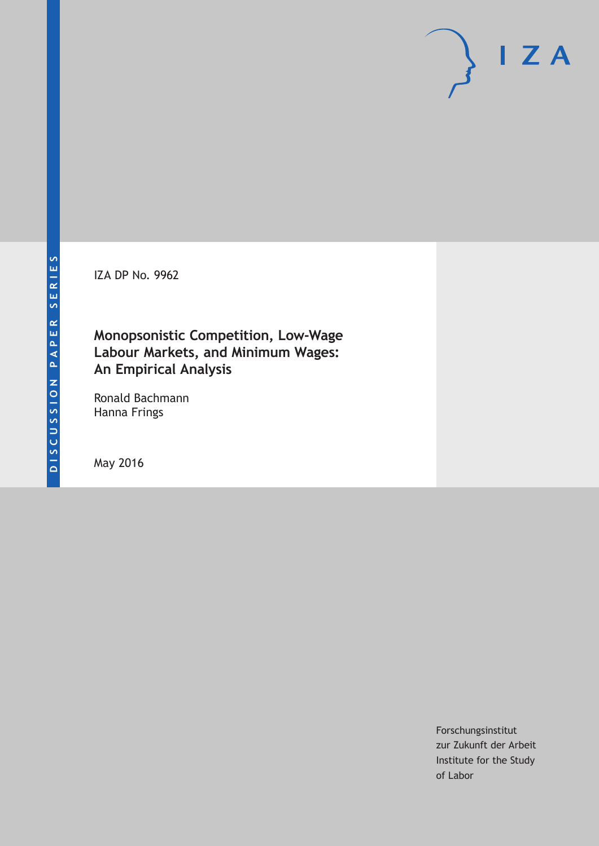IZA DP No. 9962

## **Monopsonistic Competition, Low-Wage Labour Markets, and Minimum Wages: An Empirical Analysis**

Ronald Bachmann Hanna Frings

May 2016

Forschungsinstitut zur Zukunft der Arbeit Institute for the Study of Labor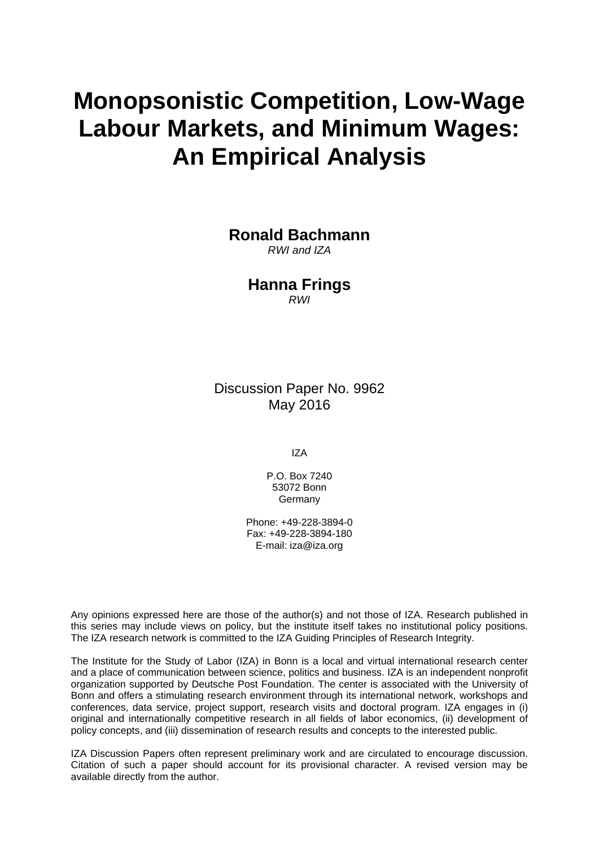# **Monopsonistic Competition, Low-Wage Labour Markets, and Minimum Wages: An Empirical Analysis**

**Ronald Bachmann** 

*RWI and IZA* 

**Hanna Frings**  *RWI* 

Discussion Paper No. 9962 May 2016

IZA

P.O. Box 7240 53072 Bonn **Germany** 

Phone: +49-228-3894-0 Fax: +49-228-3894-180 E-mail: iza@iza.org

Any opinions expressed here are those of the author(s) and not those of IZA. Research published in this series may include views on policy, but the institute itself takes no institutional policy positions. The IZA research network is committed to the IZA Guiding Principles of Research Integrity.

The Institute for the Study of Labor (IZA) in Bonn is a local and virtual international research center and a place of communication between science, politics and business. IZA is an independent nonprofit organization supported by Deutsche Post Foundation. The center is associated with the University of Bonn and offers a stimulating research environment through its international network, workshops and conferences, data service, project support, research visits and doctoral program. IZA engages in (i) original and internationally competitive research in all fields of labor economics, (ii) development of policy concepts, and (iii) dissemination of research results and concepts to the interested public.

IZA Discussion Papers often represent preliminary work and are circulated to encourage discussion. Citation of such a paper should account for its provisional character. A revised version may be available directly from the author.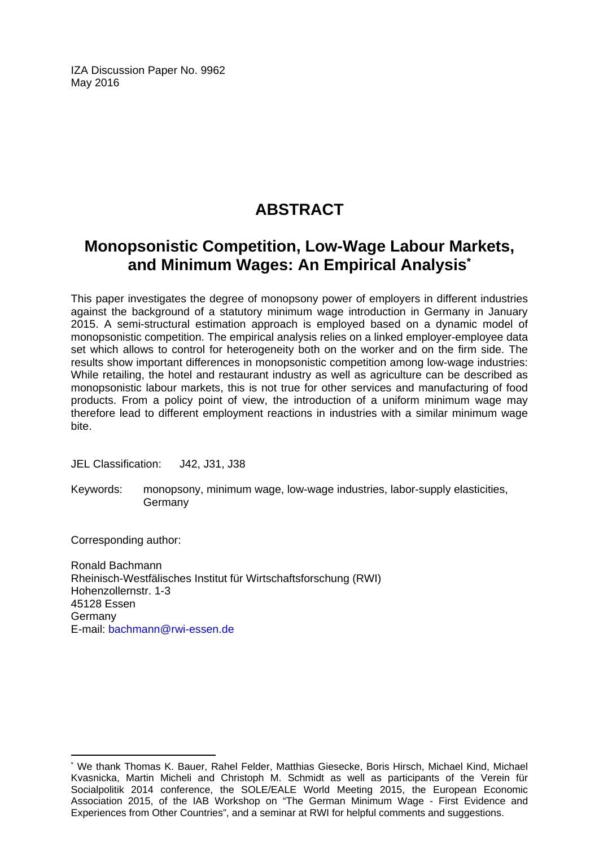IZA Discussion Paper No. 9962 May 2016

# **ABSTRACT**

## **Monopsonistic Competition, Low-Wage Labour Markets, and Minimum Wages: An Empirical Analysis\***

This paper investigates the degree of monopsony power of employers in different industries against the background of a statutory minimum wage introduction in Germany in January 2015. A semi-structural estimation approach is employed based on a dynamic model of monopsonistic competition. The empirical analysis relies on a linked employer-employee data set which allows to control for heterogeneity both on the worker and on the firm side. The results show important differences in monopsonistic competition among low-wage industries: While retailing, the hotel and restaurant industry as well as agriculture can be described as monopsonistic labour markets, this is not true for other services and manufacturing of food products. From a policy point of view, the introduction of a uniform minimum wage may therefore lead to different employment reactions in industries with a similar minimum wage bite.

JEL Classification: J42, J31, J38

Keywords: monopsony, minimum wage, low-wage industries, labor-supply elasticities, **Germany** 

Corresponding author:

Ronald Bachmann Rheinisch-Westfälisches Institut für Wirtschaftsforschung (RWI) Hohenzollernstr. 1-3 45128 Essen Germany E-mail: bachmann@rwi-essen.de

 $\overline{\phantom{a}}$ \* We thank Thomas K. Bauer, Rahel Felder, Matthias Giesecke, Boris Hirsch, Michael Kind, Michael Kvasnicka, Martin Micheli and Christoph M. Schmidt as well as participants of the Verein für Socialpolitik 2014 conference, the SOLE/EALE World Meeting 2015, the European Economic Association 2015, of the IAB Workshop on "The German Minimum Wage - First Evidence and Experiences from Other Countries", and a seminar at RWI for helpful comments and suggestions.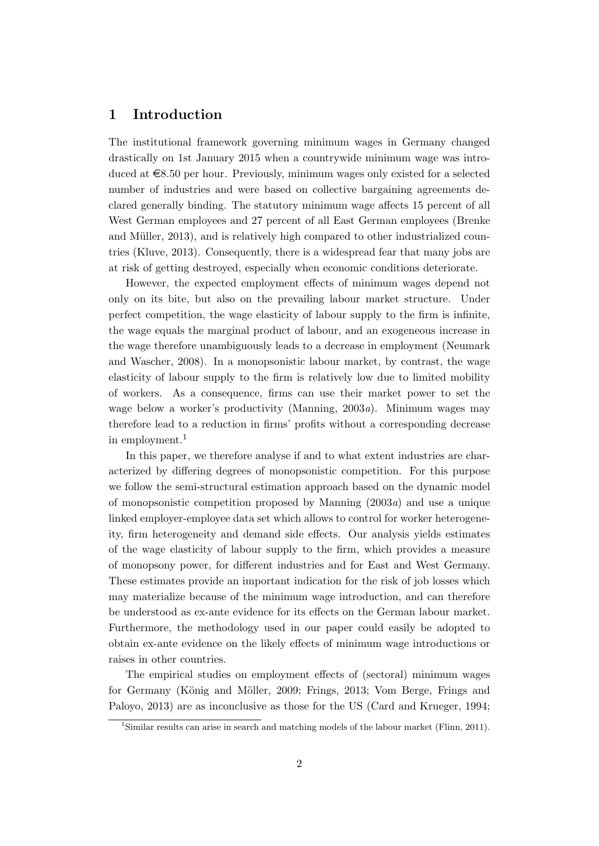#### 1 Introduction

The institutional framework governing minimum wages in Germany changed drastically on 1st January 2015 when a countrywide minimum wage was introduced at  $\epsilon$ 8.50 per hour. Previously, minimum wages only existed for a selected number of industries and were based on collective bargaining agreements declared generally binding. The statutory minimum wage affects 15 percent of all West German employees and 27 percent of all East German employees (Brenke and Müller, 2013), and is relatively high compared to other industrialized countries (Kluve, 2013). Consequently, there is a widespread fear that many jobs are at risk of getting destroyed, especially when economic conditions deteriorate.

However, the expected employment effects of minimum wages depend not only on its bite, but also on the prevailing labour market structure. Under perfect competition, the wage elasticity of labour supply to the firm is infinite, the wage equals the marginal product of labour, and an exogeneous increase in the wage therefore unambiguously leads to a decrease in employment (Neumark and Wascher, 2008). In a monopsonistic labour market, by contrast, the wage elasticity of labour supply to the firm is relatively low due to limited mobility of workers. As a consequence, firms can use their market power to set the wage below a worker's productivity (Manning, 2003a). Minimum wages may therefore lead to a reduction in firms' profits without a corresponding decrease in employment.<sup>1</sup>

In this paper, we therefore analyse if and to what extent industries are characterized by differing degrees of monopsonistic competition. For this purpose we follow the semi-structural estimation approach based on the dynamic model of monopsonistic competition proposed by Manning  $(2003a)$  and use a unique linked employer-employee data set which allows to control for worker heterogeneity, firm heterogeneity and demand side effects. Our analysis yields estimates of the wage elasticity of labour supply to the firm, which provides a measure of monopsony power, for different industries and for East and West Germany. These estimates provide an important indication for the risk of job losses which may materialize because of the minimum wage introduction, and can therefore be understood as ex-ante evidence for its effects on the German labour market. Furthermore, the methodology used in our paper could easily be adopted to obtain ex-ante evidence on the likely effects of minimum wage introductions or raises in other countries.

The empirical studies on employment effects of (sectoral) minimum wages for Germany (König and Möller, 2009; Frings, 2013; Vom Berge, Frings and Paloyo, 2013) are as inconclusive as those for the US (Card and Krueger, 1994;

<sup>&</sup>lt;sup>1</sup>Similar results can arise in search and matching models of the labour market (Flinn, 2011).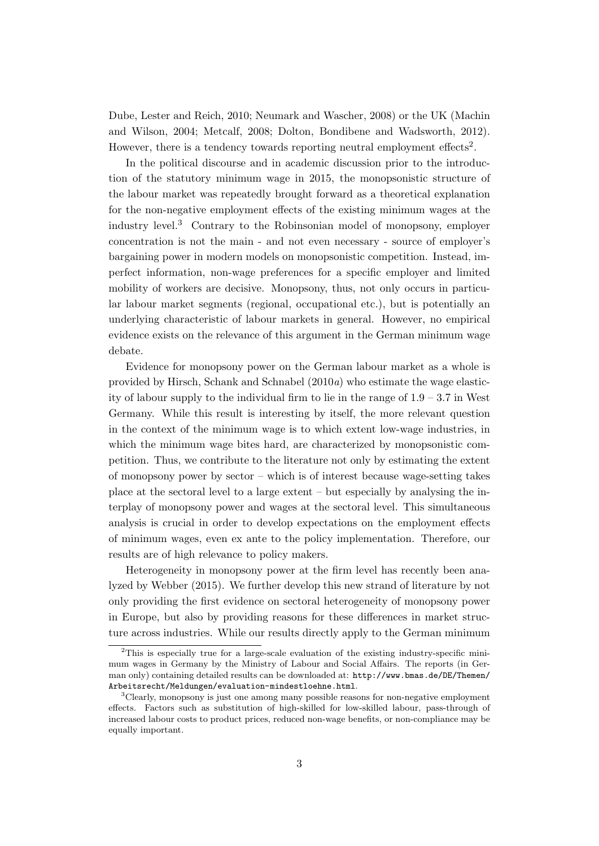Dube, Lester and Reich, 2010; Neumark and Wascher, 2008) or the UK (Machin and Wilson, 2004; Metcalf, 2008; Dolton, Bondibene and Wadsworth, 2012). However, there is a tendency towards reporting neutral employment effects<sup>2</sup>.

In the political discourse and in academic discussion prior to the introduction of the statutory minimum wage in 2015, the monopsonistic structure of the labour market was repeatedly brought forward as a theoretical explanation for the non-negative employment effects of the existing minimum wages at the industry level.<sup>3</sup> Contrary to the Robinsonian model of monopsony, employer concentration is not the main - and not even necessary - source of employer's bargaining power in modern models on monopsonistic competition. Instead, imperfect information, non-wage preferences for a specific employer and limited mobility of workers are decisive. Monopsony, thus, not only occurs in particular labour market segments (regional, occupational etc.), but is potentially an underlying characteristic of labour markets in general. However, no empirical evidence exists on the relevance of this argument in the German minimum wage debate.

Evidence for monopsony power on the German labour market as a whole is provided by Hirsch, Schank and Schnabel (2010a) who estimate the wage elasticity of labour supply to the individual firm to lie in the range of  $1.9 - 3.7$  in West Germany. While this result is interesting by itself, the more relevant question in the context of the minimum wage is to which extent low-wage industries, in which the minimum wage bites hard, are characterized by monopsonistic competition. Thus, we contribute to the literature not only by estimating the extent of monopsony power by sector – which is of interest because wage-setting takes place at the sectoral level to a large extent – but especially by analysing the interplay of monopsony power and wages at the sectoral level. This simultaneous analysis is crucial in order to develop expectations on the employment effects of minimum wages, even ex ante to the policy implementation. Therefore, our results are of high relevance to policy makers.

Heterogeneity in monopsony power at the firm level has recently been analyzed by Webber (2015). We further develop this new strand of literature by not only providing the first evidence on sectoral heterogeneity of monopsony power in Europe, but also by providing reasons for these differences in market structure across industries. While our results directly apply to the German minimum

<sup>&</sup>lt;sup>2</sup>This is especially true for a large-scale evaluation of the existing industry-specific minimum wages in Germany by the Ministry of Labour and Social Affairs. The reports (in German only) containing detailed results can be downloaded at: http://www.bmas.de/DE/Themen/ Arbeitsrecht/Meldungen/evaluation-mindestloehne.html.

 $3C$ learly, monopsony is just one among many possible reasons for non-negative employment effects. Factors such as substitution of high-skilled for low-skilled labour, pass-through of increased labour costs to product prices, reduced non-wage benefits, or non-compliance may be equally important.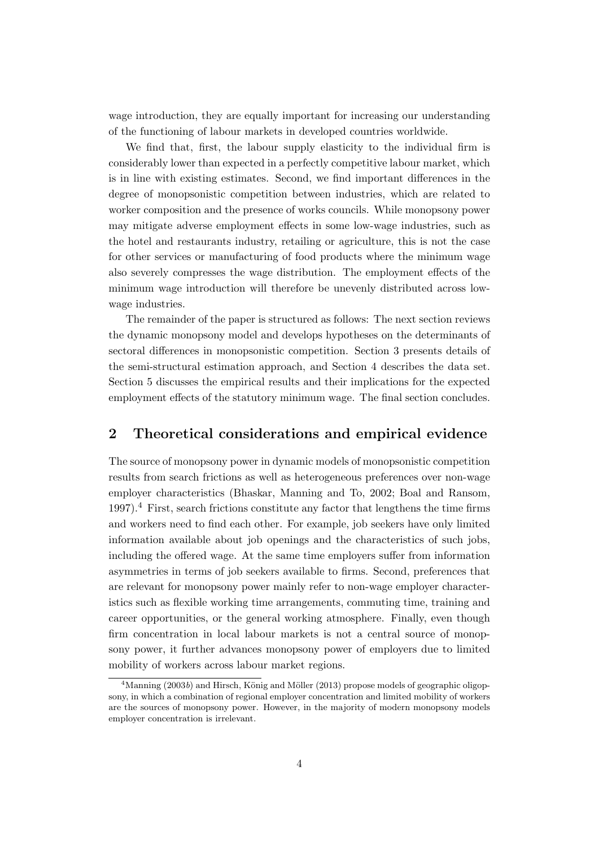wage introduction, they are equally important for increasing our understanding of the functioning of labour markets in developed countries worldwide.

We find that, first, the labour supply elasticity to the individual firm is considerably lower than expected in a perfectly competitive labour market, which is in line with existing estimates. Second, we find important differences in the degree of monopsonistic competition between industries, which are related to worker composition and the presence of works councils. While monopsony power may mitigate adverse employment effects in some low-wage industries, such as the hotel and restaurants industry, retailing or agriculture, this is not the case for other services or manufacturing of food products where the minimum wage also severely compresses the wage distribution. The employment effects of the minimum wage introduction will therefore be unevenly distributed across lowwage industries.

The remainder of the paper is structured as follows: The next section reviews the dynamic monopsony model and develops hypotheses on the determinants of sectoral differences in monopsonistic competition. Section 3 presents details of the semi-structural estimation approach, and Section 4 describes the data set. Section 5 discusses the empirical results and their implications for the expected employment effects of the statutory minimum wage. The final section concludes.

#### 2 Theoretical considerations and empirical evidence

The source of monopsony power in dynamic models of monopsonistic competition results from search frictions as well as heterogeneous preferences over non-wage employer characteristics (Bhaskar, Manning and To, 2002; Boal and Ransom, 1997).<sup>4</sup> First, search frictions constitute any factor that lengthens the time firms and workers need to find each other. For example, job seekers have only limited information available about job openings and the characteristics of such jobs, including the offered wage. At the same time employers suffer from information asymmetries in terms of job seekers available to firms. Second, preferences that are relevant for monopsony power mainly refer to non-wage employer characteristics such as flexible working time arrangements, commuting time, training and career opportunities, or the general working atmosphere. Finally, even though firm concentration in local labour markets is not a central source of monopsony power, it further advances monopsony power of employers due to limited mobility of workers across labour market regions.

<sup>&</sup>lt;sup>4</sup>Manning (2003b) and Hirsch, König and Möller (2013) propose models of geographic oligopsony, in which a combination of regional employer concentration and limited mobility of workers are the sources of monopsony power. However, in the majority of modern monopsony models employer concentration is irrelevant.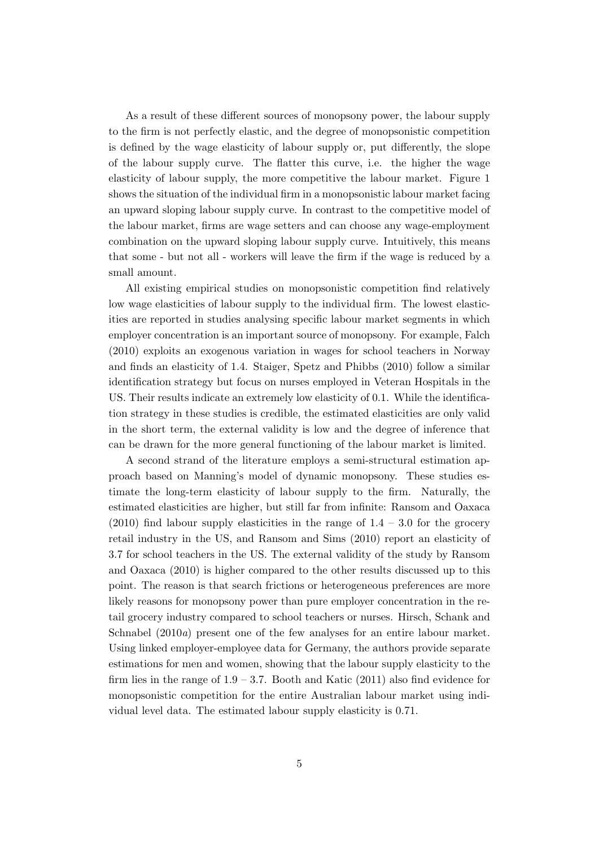As a result of these different sources of monopsony power, the labour supply to the firm is not perfectly elastic, and the degree of monopsonistic competition is defined by the wage elasticity of labour supply or, put differently, the slope of the labour supply curve. The flatter this curve, i.e. the higher the wage elasticity of labour supply, the more competitive the labour market. Figure 1 shows the situation of the individual firm in a monopsonistic labour market facing an upward sloping labour supply curve. In contrast to the competitive model of the labour market, firms are wage setters and can choose any wage-employment combination on the upward sloping labour supply curve. Intuitively, this means that some - but not all - workers will leave the firm if the wage is reduced by a small amount.

All existing empirical studies on monopsonistic competition find relatively low wage elasticities of labour supply to the individual firm. The lowest elasticities are reported in studies analysing specific labour market segments in which employer concentration is an important source of monopsony. For example, Falch (2010) exploits an exogenous variation in wages for school teachers in Norway and finds an elasticity of 1.4. Staiger, Spetz and Phibbs (2010) follow a similar identification strategy but focus on nurses employed in Veteran Hospitals in the US. Their results indicate an extremely low elasticity of 0.1. While the identification strategy in these studies is credible, the estimated elasticities are only valid in the short term, the external validity is low and the degree of inference that can be drawn for the more general functioning of the labour market is limited.

A second strand of the literature employs a semi-structural estimation approach based on Manning's model of dynamic monopsony. These studies estimate the long-term elasticity of labour supply to the firm. Naturally, the estimated elasticities are higher, but still far from infinite: Ransom and Oaxaca  $(2010)$  find labour supply elasticities in the range of  $1.4 - 3.0$  for the grocery retail industry in the US, and Ransom and Sims (2010) report an elasticity of 3.7 for school teachers in the US. The external validity of the study by Ransom and Oaxaca (2010) is higher compared to the other results discussed up to this point. The reason is that search frictions or heterogeneous preferences are more likely reasons for monopsony power than pure employer concentration in the retail grocery industry compared to school teachers or nurses. Hirsch, Schank and Schnabel (2010a) present one of the few analyses for an entire labour market. Using linked employer-employee data for Germany, the authors provide separate estimations for men and women, showing that the labour supply elasticity to the firm lies in the range of  $1.9 - 3.7$ . Booth and Katic (2011) also find evidence for monopsonistic competition for the entire Australian labour market using individual level data. The estimated labour supply elasticity is 0.71.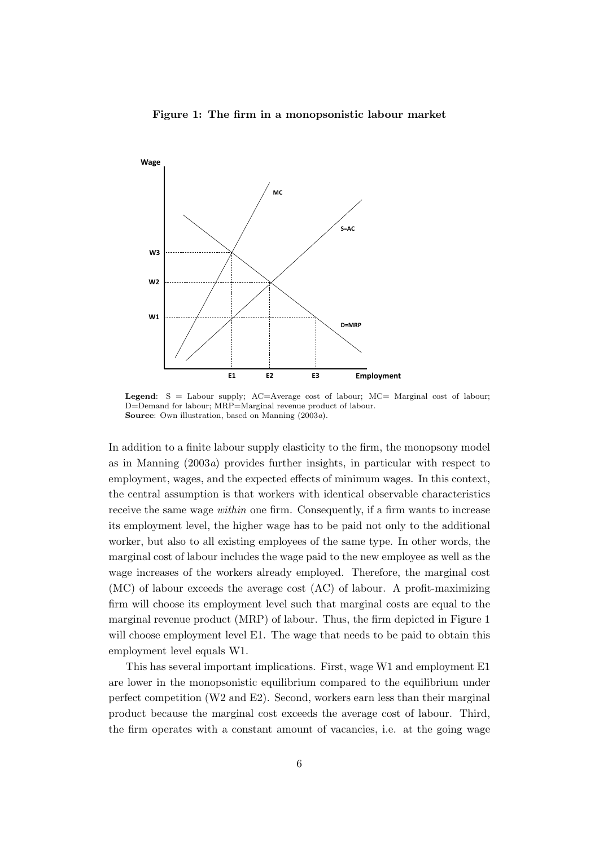#### Figure 1: The firm in a monopsonistic labour market



Legend: S = Labour supply; AC=Average cost of labour; MC= Marginal cost of labour; D=Demand for labour; MRP=Marginal revenue product of labour. Source: Own illustration, based on Manning (2003a).

In addition to a finite labour supply elasticity to the firm, the monopsony model as in Manning  $(2003a)$  provides further insights, in particular with respect to employment, wages, and the expected effects of minimum wages. In this context, the central assumption is that workers with identical observable characteristics receive the same wage within one firm. Consequently, if a firm wants to increase its employment level, the higher wage has to be paid not only to the additional worker, but also to all existing employees of the same type. In other words, the marginal cost of labour includes the wage paid to the new employee as well as the wage increases of the workers already employed. Therefore, the marginal cost (MC) of labour exceeds the average cost (AC) of labour. A profit-maximizing firm will choose its employment level such that marginal costs are equal to the marginal revenue product (MRP) of labour. Thus, the firm depicted in Figure 1 will choose employment level E1. The wage that needs to be paid to obtain this employment level equals W1.

This has several important implications. First, wage W1 and employment E1 are lower in the monopsonistic equilibrium compared to the equilibrium under perfect competition (W2 and E2). Second, workers earn less than their marginal product because the marginal cost exceeds the average cost of labour. Third, the firm operates with a constant amount of vacancies, i.e. at the going wage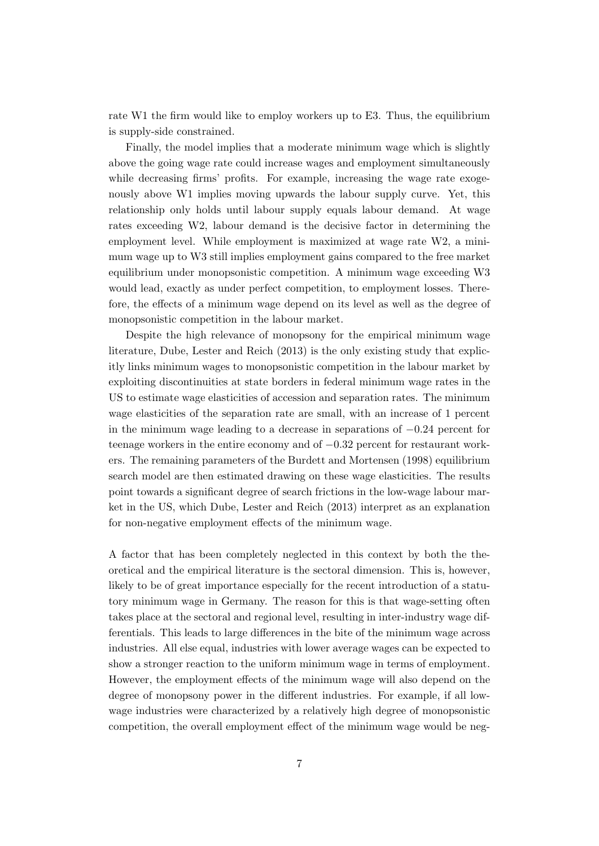rate W1 the firm would like to employ workers up to E3. Thus, the equilibrium is supply-side constrained.

Finally, the model implies that a moderate minimum wage which is slightly above the going wage rate could increase wages and employment simultaneously while decreasing firms' profits. For example, increasing the wage rate exogenously above W1 implies moving upwards the labour supply curve. Yet, this relationship only holds until labour supply equals labour demand. At wage rates exceeding W2, labour demand is the decisive factor in determining the employment level. While employment is maximized at wage rate W2, a minimum wage up to W3 still implies employment gains compared to the free market equilibrium under monopsonistic competition. A minimum wage exceeding W3 would lead, exactly as under perfect competition, to employment losses. Therefore, the effects of a minimum wage depend on its level as well as the degree of monopsonistic competition in the labour market.

Despite the high relevance of monopsony for the empirical minimum wage literature, Dube, Lester and Reich (2013) is the only existing study that explicitly links minimum wages to monopsonistic competition in the labour market by exploiting discontinuities at state borders in federal minimum wage rates in the US to estimate wage elasticities of accession and separation rates. The minimum wage elasticities of the separation rate are small, with an increase of 1 percent in the minimum wage leading to a decrease in separations of −0.24 percent for teenage workers in the entire economy and of −0.32 percent for restaurant workers. The remaining parameters of the Burdett and Mortensen (1998) equilibrium search model are then estimated drawing on these wage elasticities. The results point towards a significant degree of search frictions in the low-wage labour market in the US, which Dube, Lester and Reich (2013) interpret as an explanation for non-negative employment effects of the minimum wage.

A factor that has been completely neglected in this context by both the theoretical and the empirical literature is the sectoral dimension. This is, however, likely to be of great importance especially for the recent introduction of a statutory minimum wage in Germany. The reason for this is that wage-setting often takes place at the sectoral and regional level, resulting in inter-industry wage differentials. This leads to large differences in the bite of the minimum wage across industries. All else equal, industries with lower average wages can be expected to show a stronger reaction to the uniform minimum wage in terms of employment. However, the employment effects of the minimum wage will also depend on the degree of monopsony power in the different industries. For example, if all lowwage industries were characterized by a relatively high degree of monopsonistic competition, the overall employment effect of the minimum wage would be neg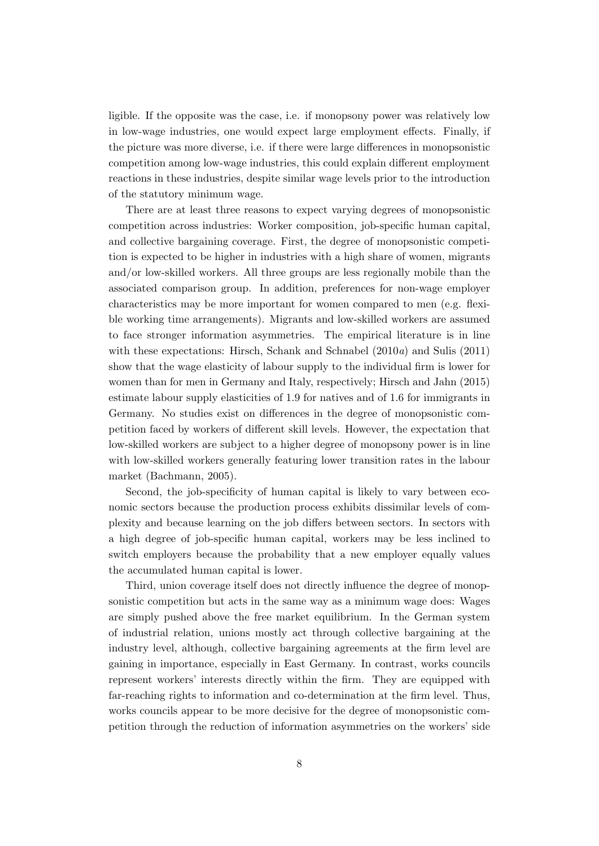ligible. If the opposite was the case, i.e. if monopsony power was relatively low in low-wage industries, one would expect large employment effects. Finally, if the picture was more diverse, i.e. if there were large differences in monopsonistic competition among low-wage industries, this could explain different employment reactions in these industries, despite similar wage levels prior to the introduction of the statutory minimum wage.

There are at least three reasons to expect varying degrees of monopsonistic competition across industries: Worker composition, job-specific human capital, and collective bargaining coverage. First, the degree of monopsonistic competition is expected to be higher in industries with a high share of women, migrants and/or low-skilled workers. All three groups are less regionally mobile than the associated comparison group. In addition, preferences for non-wage employer characteristics may be more important for women compared to men (e.g. flexible working time arrangements). Migrants and low-skilled workers are assumed to face stronger information asymmetries. The empirical literature is in line with these expectations: Hirsch, Schank and Schnabel (2010a) and Sulis (2011) show that the wage elasticity of labour supply to the individual firm is lower for women than for men in Germany and Italy, respectively; Hirsch and Jahn (2015) estimate labour supply elasticities of 1.9 for natives and of 1.6 for immigrants in Germany. No studies exist on differences in the degree of monopsonistic competition faced by workers of different skill levels. However, the expectation that low-skilled workers are subject to a higher degree of monopsony power is in line with low-skilled workers generally featuring lower transition rates in the labour market (Bachmann, 2005).

Second, the job-specificity of human capital is likely to vary between economic sectors because the production process exhibits dissimilar levels of complexity and because learning on the job differs between sectors. In sectors with a high degree of job-specific human capital, workers may be less inclined to switch employers because the probability that a new employer equally values the accumulated human capital is lower.

Third, union coverage itself does not directly influence the degree of monopsonistic competition but acts in the same way as a minimum wage does: Wages are simply pushed above the free market equilibrium. In the German system of industrial relation, unions mostly act through collective bargaining at the industry level, although, collective bargaining agreements at the firm level are gaining in importance, especially in East Germany. In contrast, works councils represent workers' interests directly within the firm. They are equipped with far-reaching rights to information and co-determination at the firm level. Thus, works councils appear to be more decisive for the degree of monopsonistic competition through the reduction of information asymmetries on the workers' side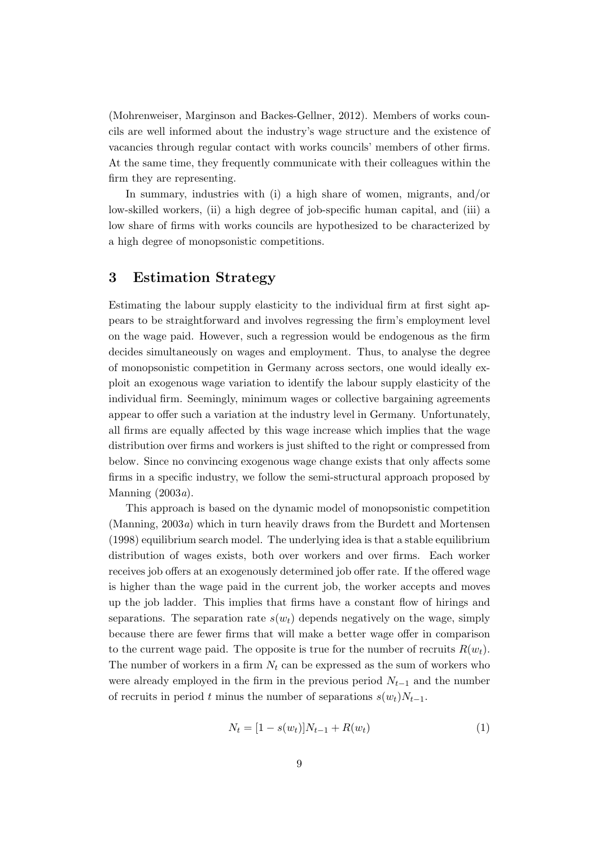(Mohrenweiser, Marginson and Backes-Gellner, 2012). Members of works councils are well informed about the industry's wage structure and the existence of vacancies through regular contact with works councils' members of other firms. At the same time, they frequently communicate with their colleagues within the firm they are representing.

In summary, industries with (i) a high share of women, migrants, and/or low-skilled workers, (ii) a high degree of job-specific human capital, and (iii) a low share of firms with works councils are hypothesized to be characterized by a high degree of monopsonistic competitions.

#### 3 Estimation Strategy

Estimating the labour supply elasticity to the individual firm at first sight appears to be straightforward and involves regressing the firm's employment level on the wage paid. However, such a regression would be endogenous as the firm decides simultaneously on wages and employment. Thus, to analyse the degree of monopsonistic competition in Germany across sectors, one would ideally exploit an exogenous wage variation to identify the labour supply elasticity of the individual firm. Seemingly, minimum wages or collective bargaining agreements appear to offer such a variation at the industry level in Germany. Unfortunately, all firms are equally affected by this wage increase which implies that the wage distribution over firms and workers is just shifted to the right or compressed from below. Since no convincing exogenous wage change exists that only affects some firms in a specific industry, we follow the semi-structural approach proposed by Manning  $(2003a)$ .

This approach is based on the dynamic model of monopsonistic competition (Manning, 2003a) which in turn heavily draws from the Burdett and Mortensen (1998) equilibrium search model. The underlying idea is that a stable equilibrium distribution of wages exists, both over workers and over firms. Each worker receives job offers at an exogenously determined job offer rate. If the offered wage is higher than the wage paid in the current job, the worker accepts and moves up the job ladder. This implies that firms have a constant flow of hirings and separations. The separation rate  $s(w_t)$  depends negatively on the wage, simply because there are fewer firms that will make a better wage offer in comparison to the current wage paid. The opposite is true for the number of recruits  $R(w_t)$ . The number of workers in a firm  $N_t$  can be expressed as the sum of workers who were already employed in the firm in the previous period  $N_{t-1}$  and the number of recruits in period t minus the number of separations  $s(w_t)N_{t-1}$ .

$$
N_t = [1 - s(w_t)]N_{t-1} + R(w_t)
$$
\n(1)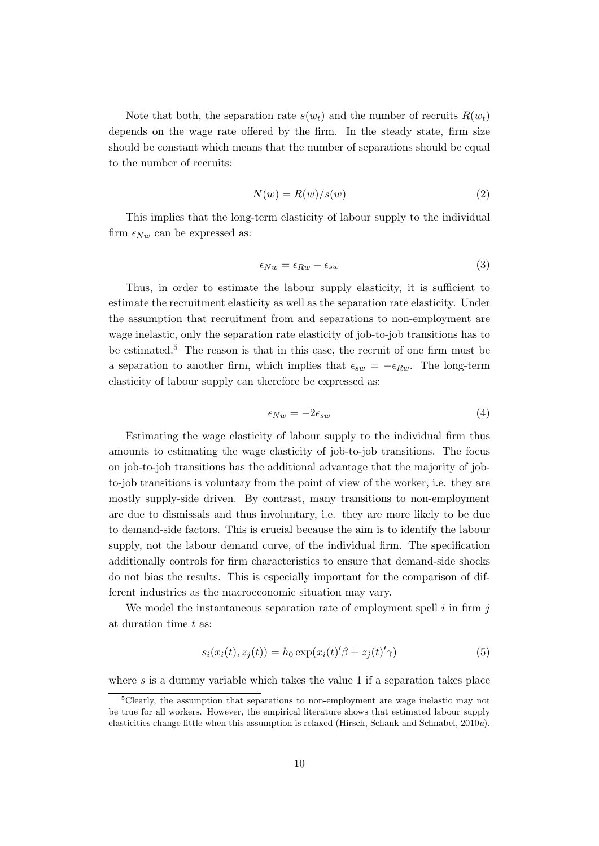Note that both, the separation rate  $s(w_t)$  and the number of recruits  $R(w_t)$ depends on the wage rate offered by the firm. In the steady state, firm size should be constant which means that the number of separations should be equal to the number of recruits:

$$
N(w) = R(w)/s(w)
$$
\n(2)

This implies that the long-term elasticity of labour supply to the individual firm  $\epsilon_{Nw}$  can be expressed as:

$$
\epsilon_{Nw} = \epsilon_{Rw} - \epsilon_{sw} \tag{3}
$$

Thus, in order to estimate the labour supply elasticity, it is sufficient to estimate the recruitment elasticity as well as the separation rate elasticity. Under the assumption that recruitment from and separations to non-employment are wage inelastic, only the separation rate elasticity of job-to-job transitions has to be estimated.<sup>5</sup> The reason is that in this case, the recruit of one firm must be a separation to another firm, which implies that  $\epsilon_{sw} = -\epsilon_{Rw}$ . The long-term elasticity of labour supply can therefore be expressed as:

$$
\epsilon_{Nw} = -2\epsilon_{sw} \tag{4}
$$

Estimating the wage elasticity of labour supply to the individual firm thus amounts to estimating the wage elasticity of job-to-job transitions. The focus on job-to-job transitions has the additional advantage that the majority of jobto-job transitions is voluntary from the point of view of the worker, i.e. they are mostly supply-side driven. By contrast, many transitions to non-employment are due to dismissals and thus involuntary, i.e. they are more likely to be due to demand-side factors. This is crucial because the aim is to identify the labour supply, not the labour demand curve, of the individual firm. The specification additionally controls for firm characteristics to ensure that demand-side shocks do not bias the results. This is especially important for the comparison of different industries as the macroeconomic situation may vary.

We model the instantaneous separation rate of employment spell  $i$  in firm  $j$ at duration time t as:

$$
s_i(x_i(t), z_j(t)) = h_0 \exp(x_i(t)'\beta + z_j(t)'\gamma)
$$
\n
$$
(5)
$$

where s is a dummy variable which takes the value 1 if a separation takes place

<sup>5</sup>Clearly, the assumption that separations to non-employment are wage inelastic may not be true for all workers. However, the empirical literature shows that estimated labour supply elasticities change little when this assumption is relaxed (Hirsch, Schank and Schnabel, 2010a).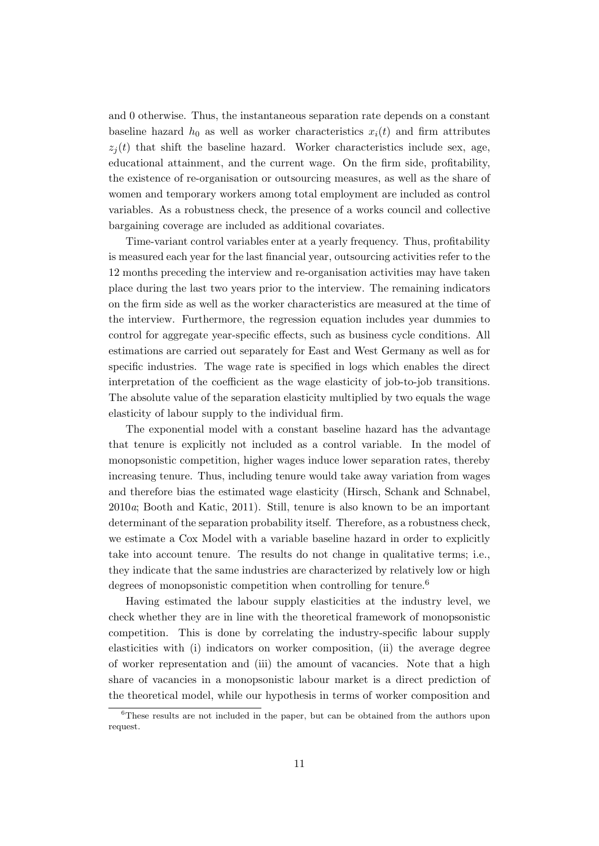and 0 otherwise. Thus, the instantaneous separation rate depends on a constant baseline hazard  $h_0$  as well as worker characteristics  $x_i(t)$  and firm attributes  $z_i(t)$  that shift the baseline hazard. Worker characteristics include sex, age, educational attainment, and the current wage. On the firm side, profitability, the existence of re-organisation or outsourcing measures, as well as the share of women and temporary workers among total employment are included as control variables. As a robustness check, the presence of a works council and collective bargaining coverage are included as additional covariates.

Time-variant control variables enter at a yearly frequency. Thus, profitability is measured each year for the last financial year, outsourcing activities refer to the 12 months preceding the interview and re-organisation activities may have taken place during the last two years prior to the interview. The remaining indicators on the firm side as well as the worker characteristics are measured at the time of the interview. Furthermore, the regression equation includes year dummies to control for aggregate year-specific effects, such as business cycle conditions. All estimations are carried out separately for East and West Germany as well as for specific industries. The wage rate is specified in logs which enables the direct interpretation of the coefficient as the wage elasticity of job-to-job transitions. The absolute value of the separation elasticity multiplied by two equals the wage elasticity of labour supply to the individual firm.

The exponential model with a constant baseline hazard has the advantage that tenure is explicitly not included as a control variable. In the model of monopsonistic competition, higher wages induce lower separation rates, thereby increasing tenure. Thus, including tenure would take away variation from wages and therefore bias the estimated wage elasticity (Hirsch, Schank and Schnabel, 2010a; Booth and Katic, 2011). Still, tenure is also known to be an important determinant of the separation probability itself. Therefore, as a robustness check, we estimate a Cox Model with a variable baseline hazard in order to explicitly take into account tenure. The results do not change in qualitative terms; i.e., they indicate that the same industries are characterized by relatively low or high degrees of monopsonistic competition when controlling for tenure.<sup>6</sup>

Having estimated the labour supply elasticities at the industry level, we check whether they are in line with the theoretical framework of monopsonistic competition. This is done by correlating the industry-specific labour supply elasticities with (i) indicators on worker composition, (ii) the average degree of worker representation and (iii) the amount of vacancies. Note that a high share of vacancies in a monopsonistic labour market is a direct prediction of the theoretical model, while our hypothesis in terms of worker composition and

<sup>6</sup>These results are not included in the paper, but can be obtained from the authors upon request.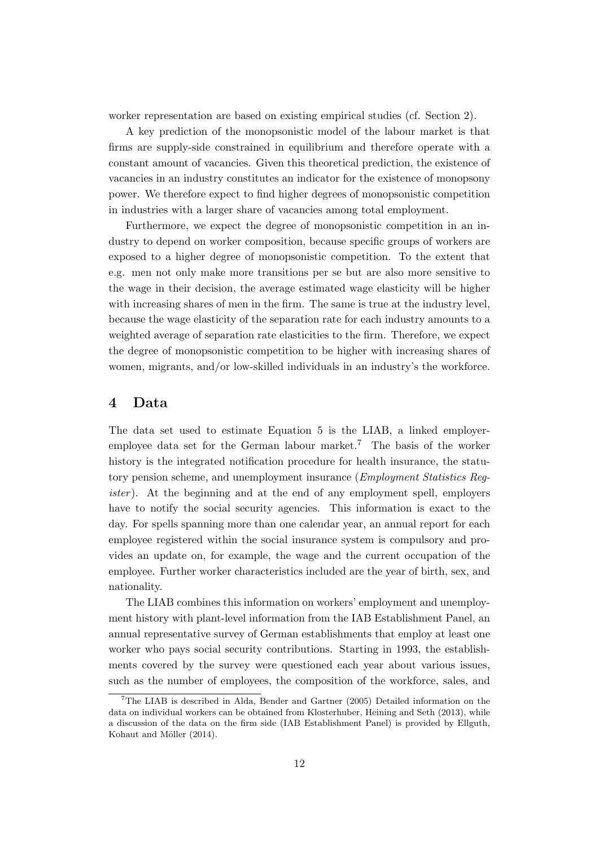worker representation are based on existing empirical studies (cf. Section 2).

A key prediction of the monopsonistic model of the labour market is that firms are supply-side constrained in equilibrium and therefore operate with a constant amount of vacancies. Given this theoretical prediction, the existence of vacancies in an industry constitutes an indicator for the existence of monopsony power. We therefore expect to find higher degrees of monopsonistic competition in industries with a larger share of vacancies among total employment.

Furthermore, we expect the degree of monopsonistic competition in an industry to depend on worker composition, because specific groups of workers are exposed to a higher degree of monopsonistic competition. To the extent that e.g. men not only make more transitions per se but are also more sensitive to the wage in their decision, the average estimated wage elasticity will be higher with increasing shares of men in the firm. The same is true at the industry level, because the wage elasticity of the separation rate for each industry amounts to a weighted average of separation rate elasticities to the firm. Therefore, we expect the degree of monopsonistic competition to be higher with increasing shares of women, migrants, and/or low-skilled individuals in an industry's the workforce.

#### 4 Data

The data set used to estimate Equation 5 is the LIAB, a linked employeremployee data set for the German labour market.<sup>7</sup> The basis of the worker history is the integrated notification procedure for health insurance, the statutory pension scheme, and unemployment insurance (Employment Statistics Register). At the beginning and at the end of any employment spell, employers have to notify the social security agencies. This information is exact to the day. For spells spanning more than one calendar year, an annual report for each employee registered within the social insurance system is compulsory and provides an update on, for example, the wage and the current occupation of the employee. Further worker characteristics included are the year of birth, sex, and nationality.

The LIAB combines this information on workers' employment and unemployment history with plant-level information from the IAB Establishment Panel, an annual representative survey of German establishments that employ at least one worker who pays social security contributions. Starting in 1993, the establishments covered by the survey were questioned each year about various issues, such as the number of employees, the composition of the workforce, sales, and

<sup>7</sup>The LIAB is described in Alda, Bender and Gartner (2005) Detailed information on the data on individual workers can be obtained from Klosterhuber, Heining and Seth (2013), while a discussion of the data on the firm side (IAB Establishment Panel) is provided by Ellguth, Kohaut and Möller (2014).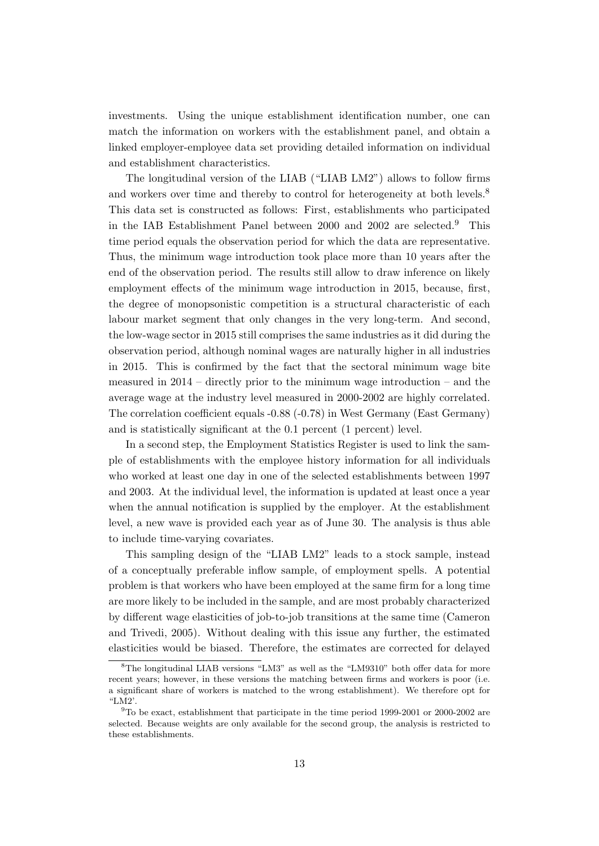investments. Using the unique establishment identification number, one can match the information on workers with the establishment panel, and obtain a linked employer-employee data set providing detailed information on individual and establishment characteristics.

The longitudinal version of the LIAB ("LIAB LM2") allows to follow firms and workers over time and thereby to control for heterogeneity at both levels.<sup>8</sup> This data set is constructed as follows: First, establishments who participated in the IAB Establishment Panel between 2000 and 2002 are selected.<sup>9</sup> This time period equals the observation period for which the data are representative. Thus, the minimum wage introduction took place more than 10 years after the end of the observation period. The results still allow to draw inference on likely employment effects of the minimum wage introduction in 2015, because, first, the degree of monopsonistic competition is a structural characteristic of each labour market segment that only changes in the very long-term. And second, the low-wage sector in 2015 still comprises the same industries as it did during the observation period, although nominal wages are naturally higher in all industries in 2015. This is confirmed by the fact that the sectoral minimum wage bite measured in  $2014$  – directly prior to the minimum wage introduction – and the average wage at the industry level measured in 2000-2002 are highly correlated. The correlation coefficient equals -0.88 (-0.78) in West Germany (East Germany) and is statistically significant at the 0.1 percent (1 percent) level.

In a second step, the Employment Statistics Register is used to link the sample of establishments with the employee history information for all individuals who worked at least one day in one of the selected establishments between 1997 and 2003. At the individual level, the information is updated at least once a year when the annual notification is supplied by the employer. At the establishment level, a new wave is provided each year as of June 30. The analysis is thus able to include time-varying covariates.

This sampling design of the "LIAB LM2" leads to a stock sample, instead of a conceptually preferable inflow sample, of employment spells. A potential problem is that workers who have been employed at the same firm for a long time are more likely to be included in the sample, and are most probably characterized by different wage elasticities of job-to-job transitions at the same time (Cameron and Trivedi, 2005). Without dealing with this issue any further, the estimated elasticities would be biased. Therefore, the estimates are corrected for delayed

<sup>8</sup>The longitudinal LIAB versions "LM3" as well as the "LM9310" both offer data for more recent years; however, in these versions the matching between firms and workers is poor (i.e. a significant share of workers is matched to the wrong establishment). We therefore opt for "LM2'.

 $9$ To be exact, establishment that participate in the time period 1999-2001 or 2000-2002 are selected. Because weights are only available for the second group, the analysis is restricted to these establishments.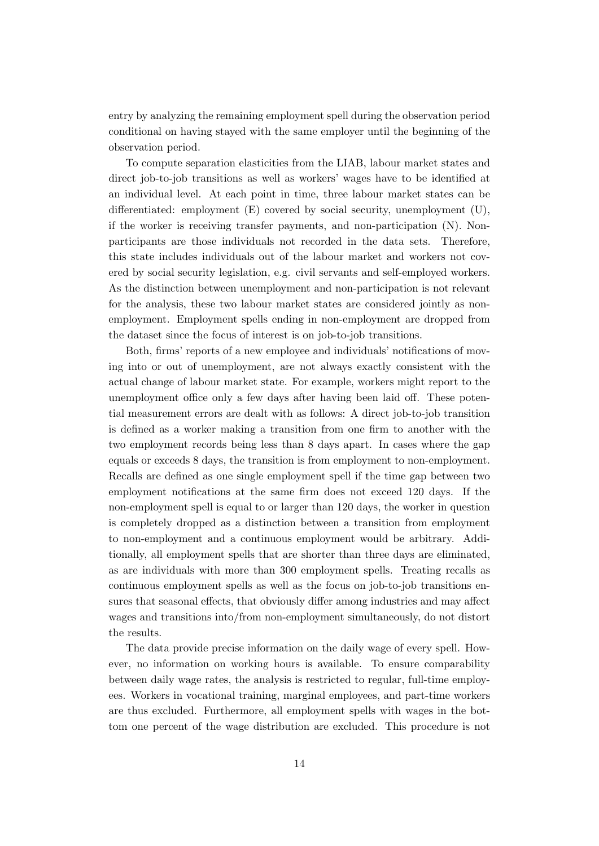entry by analyzing the remaining employment spell during the observation period conditional on having stayed with the same employer until the beginning of the observation period.

To compute separation elasticities from the LIAB, labour market states and direct job-to-job transitions as well as workers' wages have to be identified at an individual level. At each point in time, three labour market states can be differentiated: employment (E) covered by social security, unemployment (U), if the worker is receiving transfer payments, and non-participation (N). Nonparticipants are those individuals not recorded in the data sets. Therefore, this state includes individuals out of the labour market and workers not covered by social security legislation, e.g. civil servants and self-employed workers. As the distinction between unemployment and non-participation is not relevant for the analysis, these two labour market states are considered jointly as nonemployment. Employment spells ending in non-employment are dropped from the dataset since the focus of interest is on job-to-job transitions.

Both, firms' reports of a new employee and individuals' notifications of moving into or out of unemployment, are not always exactly consistent with the actual change of labour market state. For example, workers might report to the unemployment office only a few days after having been laid off. These potential measurement errors are dealt with as follows: A direct job-to-job transition is defined as a worker making a transition from one firm to another with the two employment records being less than 8 days apart. In cases where the gap equals or exceeds 8 days, the transition is from employment to non-employment. Recalls are defined as one single employment spell if the time gap between two employment notifications at the same firm does not exceed 120 days. If the non-employment spell is equal to or larger than 120 days, the worker in question is completely dropped as a distinction between a transition from employment to non-employment and a continuous employment would be arbitrary. Additionally, all employment spells that are shorter than three days are eliminated, as are individuals with more than 300 employment spells. Treating recalls as continuous employment spells as well as the focus on job-to-job transitions ensures that seasonal effects, that obviously differ among industries and may affect wages and transitions into/from non-employment simultaneously, do not distort the results.

The data provide precise information on the daily wage of every spell. However, no information on working hours is available. To ensure comparability between daily wage rates, the analysis is restricted to regular, full-time employees. Workers in vocational training, marginal employees, and part-time workers are thus excluded. Furthermore, all employment spells with wages in the bottom one percent of the wage distribution are excluded. This procedure is not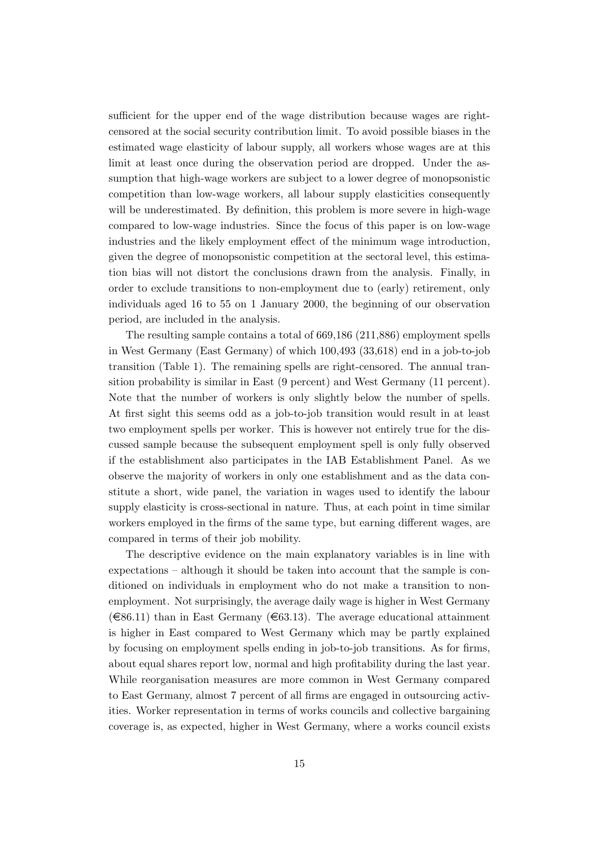sufficient for the upper end of the wage distribution because wages are rightcensored at the social security contribution limit. To avoid possible biases in the estimated wage elasticity of labour supply, all workers whose wages are at this limit at least once during the observation period are dropped. Under the assumption that high-wage workers are subject to a lower degree of monopsonistic competition than low-wage workers, all labour supply elasticities consequently will be underestimated. By definition, this problem is more severe in high-wage compared to low-wage industries. Since the focus of this paper is on low-wage industries and the likely employment effect of the minimum wage introduction, given the degree of monopsonistic competition at the sectoral level, this estimation bias will not distort the conclusions drawn from the analysis. Finally, in order to exclude transitions to non-employment due to (early) retirement, only individuals aged 16 to 55 on 1 January 2000, the beginning of our observation period, are included in the analysis.

The resulting sample contains a total of 669,186 (211,886) employment spells in West Germany (East Germany) of which 100,493 (33,618) end in a job-to-job transition (Table 1). The remaining spells are right-censored. The annual transition probability is similar in East (9 percent) and West Germany (11 percent). Note that the number of workers is only slightly below the number of spells. At first sight this seems odd as a job-to-job transition would result in at least two employment spells per worker. This is however not entirely true for the discussed sample because the subsequent employment spell is only fully observed if the establishment also participates in the IAB Establishment Panel. As we observe the majority of workers in only one establishment and as the data constitute a short, wide panel, the variation in wages used to identify the labour supply elasticity is cross-sectional in nature. Thus, at each point in time similar workers employed in the firms of the same type, but earning different wages, are compared in terms of their job mobility.

The descriptive evidence on the main explanatory variables is in line with expectations – although it should be taken into account that the sample is conditioned on individuals in employment who do not make a transition to nonemployment. Not surprisingly, the average daily wage is higher in West Germany  $(\infty 86.11)$  than in East Germany  $(\infty 63.13)$ . The average educational attainment is higher in East compared to West Germany which may be partly explained by focusing on employment spells ending in job-to-job transitions. As for firms, about equal shares report low, normal and high profitability during the last year. While reorganisation measures are more common in West Germany compared to East Germany, almost 7 percent of all firms are engaged in outsourcing activities. Worker representation in terms of works councils and collective bargaining coverage is, as expected, higher in West Germany, where a works council exists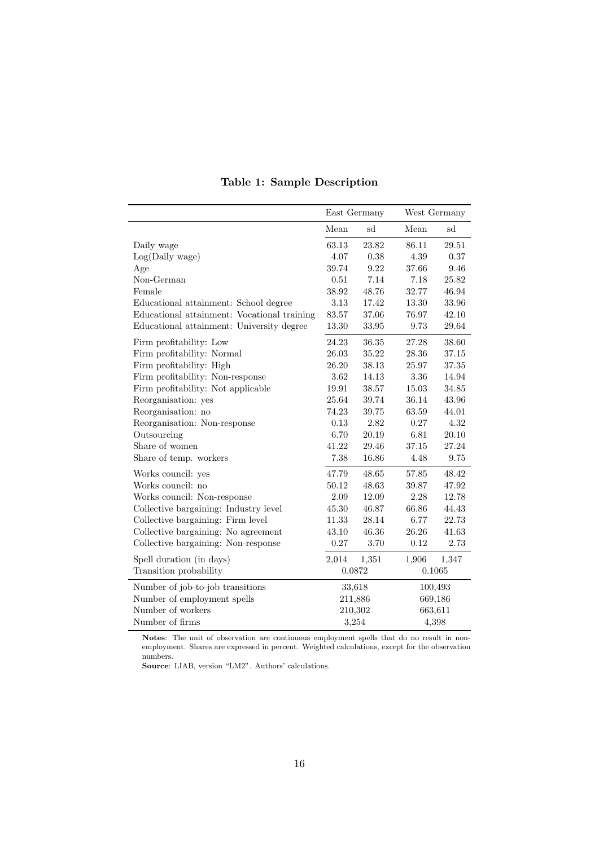|                                             |           | East Germany | West Germany |         |  |
|---------------------------------------------|-----------|--------------|--------------|---------|--|
|                                             | Mean      | sd           | Mean         | sd      |  |
| Daily wage                                  | 63.13     | 23.82        | 86.11        | 29.51   |  |
| Log(Daily wage)                             | 4.07      | 0.38         | 4.39         | 0.37    |  |
| Age                                         | 39.74     | 9.22         | 37.66        | 9.46    |  |
| Non-German                                  | 0.51      | 7.14         | 7.18         | 25.82   |  |
| Female                                      | 38.92     | 48.76        | 32.77        | 46.94   |  |
| Educational attainment: School degree       | 3.13      | 17.42        | 13.30        | 33.96   |  |
| Educational attainment: Vocational training | 83.57     | 37.06        | 76.97        | 42.10   |  |
| Educational attainment: University degree   | $13.30\,$ | 33.95        | 9.73         | 29.64   |  |
| Firm profitability: Low                     | 24.23     | 36.35        | 27.28        | 38.60   |  |
| Firm profitability: Normal                  | 26.03     | 35.22        | 28.36        | 37.15   |  |
| Firm profitability: High                    | 26.20     | 38.13        | 25.97        | 37.35   |  |
| Firm profitability: Non-response            | 3.62      | 14.13        | 3.36         | 14.94   |  |
| Firm profitability: Not applicable          | 19.91     | 38.57        | 15.03        | 34.85   |  |
| Reorganisation: yes                         | 25.64     | 39.74        | 36.14        | 43.96   |  |
| Reorganisation: no                          | 74.23     | 39.75        | 63.59        | 44.01   |  |
| Reorganisation: Non-response                | 0.13      | 2.82         | 0.27         | 4.32    |  |
| Outsourcing                                 | 6.70      | 20.19        | 6.81         | 20.10   |  |
| Share of women                              | 41.22     | 29.46        | 37.15        | 27.24   |  |
| Share of temp. workers                      | 7.38      | 16.86        | 4.48         | 9.75    |  |
| Works council: yes                          | 47.79     | 48.65        | 57.85        | 48.42   |  |
| Works council: no                           | 50.12     | 48.63        | 39.87        | 47.92   |  |
| Works council: Non-response                 | 2.09      | 12.09        | 2.28         | 12.78   |  |
| Collective bargaining: Industry level       | 45.30     | 46.87        | 66.86        | 44.43   |  |
| Collective bargaining: Firm level           | 11.33     | 28.14        | 6.77         | 22.73   |  |
| Collective bargaining: No agreement         | 43.10     | 46.36        | 26.26        | 41.63   |  |
| Collective bargaining: Non-response         | 0.27      | 3.70         | 0.12         | 2.73    |  |
| Spell duration (in days)                    | 2,014     | 1,351        | 1,906        | 1,347   |  |
| Transition probability                      |           | 0.0872       | 0.1065       |         |  |
| Number of job-to-job transitions            |           | 33,618       |              | 100,493 |  |
| Number of employment spells                 |           | 211,886      |              | 669,186 |  |
| Number of workers                           |           | 210,302      | 663,611      |         |  |
| Number of firms                             |           | 3,254        | 4,398        |         |  |

#### Table 1: Sample Description

Notes: The unit of observation are continuous employment spells that do no result in nonemployment. Shares are expressed in percent. Weighted calculations, except for the observation numbers.

Source: LIAB, version "LM2". Authors' calculations.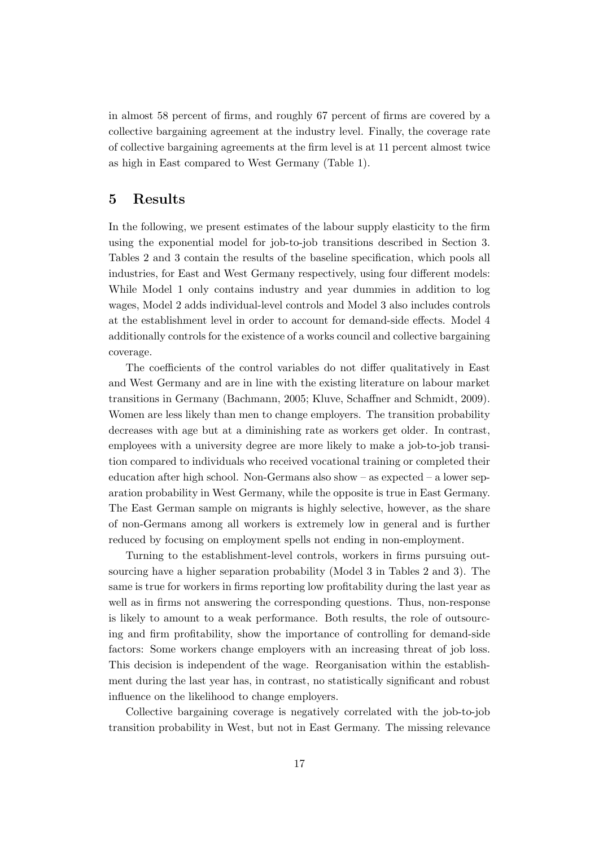in almost 58 percent of firms, and roughly 67 percent of firms are covered by a collective bargaining agreement at the industry level. Finally, the coverage rate of collective bargaining agreements at the firm level is at 11 percent almost twice as high in East compared to West Germany (Table 1).

#### 5 Results

In the following, we present estimates of the labour supply elasticity to the firm using the exponential model for job-to-job transitions described in Section 3. Tables 2 and 3 contain the results of the baseline specification, which pools all industries, for East and West Germany respectively, using four different models: While Model 1 only contains industry and year dummies in addition to log wages, Model 2 adds individual-level controls and Model 3 also includes controls at the establishment level in order to account for demand-side effects. Model 4 additionally controls for the existence of a works council and collective bargaining coverage.

The coefficients of the control variables do not differ qualitatively in East and West Germany and are in line with the existing literature on labour market transitions in Germany (Bachmann, 2005; Kluve, Schaffner and Schmidt, 2009). Women are less likely than men to change employers. The transition probability decreases with age but at a diminishing rate as workers get older. In contrast, employees with a university degree are more likely to make a job-to-job transition compared to individuals who received vocational training or completed their education after high school. Non-Germans also show – as expected – a lower separation probability in West Germany, while the opposite is true in East Germany. The East German sample on migrants is highly selective, however, as the share of non-Germans among all workers is extremely low in general and is further reduced by focusing on employment spells not ending in non-employment.

Turning to the establishment-level controls, workers in firms pursuing outsourcing have a higher separation probability (Model 3 in Tables 2 and 3). The same is true for workers in firms reporting low profitability during the last year as well as in firms not answering the corresponding questions. Thus, non-response is likely to amount to a weak performance. Both results, the role of outsourcing and firm profitability, show the importance of controlling for demand-side factors: Some workers change employers with an increasing threat of job loss. This decision is independent of the wage. Reorganisation within the establishment during the last year has, in contrast, no statistically significant and robust influence on the likelihood to change employers.

Collective bargaining coverage is negatively correlated with the job-to-job transition probability in West, but not in East Germany. The missing relevance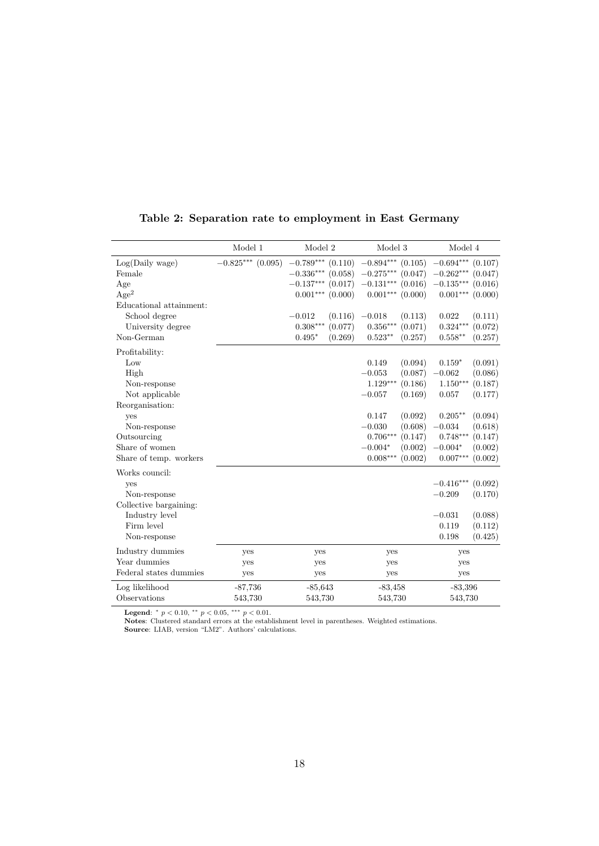|                         | Model 1             | $\,$ Model $2$                     | Model 3                | Model 4                           |  |  |  |  |
|-------------------------|---------------------|------------------------------------|------------------------|-----------------------------------|--|--|--|--|
| Log(Daily wage)         | $-0.825***$ (0.095) | $-0.789^{\ast\ast\ast}$<br>(0.110) | $-0.894***$ (0.105)    | $-0.694***$ (0.107)               |  |  |  |  |
| Female                  |                     | $-0.336***$<br>(0.058)             | $-0.275***$ (0.047)    | $-0.262***$ (0.047)               |  |  |  |  |
| Age                     |                     | $-0.137***$<br>(0.017)             | $-0.131***$<br>(0.016) | $-0.135***$ (0.016)               |  |  |  |  |
| Age <sup>2</sup>        |                     | $0.001***$<br>(0.000)              | $0.001***$<br>(0.000)  | $0.001^{***}\,$<br>(0.000)        |  |  |  |  |
| Educational attainment: |                     |                                    |                        |                                   |  |  |  |  |
| School degree           |                     | $-0.012$<br>(0.116)                | $-0.018$<br>(0.113)    | 0.022<br>(0.111)                  |  |  |  |  |
| University degree       |                     | $0.308***$<br>(0.077)              | (0.071)<br>$0.356***$  | $0.324***$<br>(0.072)             |  |  |  |  |
| Non-German              |                     | $0.495*$<br>(0.269)                | $0.523**$<br>(0.257)   | $0.558**$<br>(0.257)              |  |  |  |  |
| Profitability:          |                     |                                    |                        |                                   |  |  |  |  |
| Low                     |                     |                                    | (0.094)<br>0.149       | $0.159*$<br>(0.091)               |  |  |  |  |
| High                    |                     |                                    | $-0.053$<br>(0.087)    | $-0.062$<br>(0.086)               |  |  |  |  |
| Non-response            |                     |                                    | $1.129***$<br>(0.186)  | $1.150***$<br>(0.187)             |  |  |  |  |
| Not applicable          |                     |                                    | $-0.057$<br>(0.169)    | 0.057<br>(0.177)                  |  |  |  |  |
| Reorganisation:         |                     |                                    |                        |                                   |  |  |  |  |
| ves                     |                     |                                    | 0.147<br>(0.092)       | $0.205***$<br>(0.094)             |  |  |  |  |
| Non-response            |                     |                                    | $-0.030$<br>(0.608)    | $-0.034$<br>(0.618)               |  |  |  |  |
| Outsourcing             |                     |                                    | $0.706***$<br>(0.147)  | $0.748^{\ast\ast\ast}$<br>(0.147) |  |  |  |  |
| Share of women          |                     |                                    | $-0.004*$<br>(0.002)   | $-0.004*$<br>(0.002)              |  |  |  |  |
| Share of temp. workers  |                     |                                    | $0.008***$<br>(0.002)  | $0.007***$<br>(0.002)             |  |  |  |  |
| Works council:          |                     |                                    |                        |                                   |  |  |  |  |
| yes                     |                     |                                    |                        | $-0.416***$<br>(0.092)            |  |  |  |  |
| Non-response            |                     |                                    |                        | $-0.209$<br>(0.170)               |  |  |  |  |
| Collective bargaining:  |                     |                                    |                        |                                   |  |  |  |  |
| Industry level          |                     |                                    |                        | (0.088)<br>$-0.031$               |  |  |  |  |
| Firm level              |                     |                                    |                        | 0.119<br>(0.112)                  |  |  |  |  |
| Non-response            |                     |                                    |                        | (0.425)<br>0.198                  |  |  |  |  |
| Industry dummies        | yes                 | yes                                | yes                    | yes                               |  |  |  |  |
| Year dummies            | yes                 | yes                                | yes                    | yes                               |  |  |  |  |
| Federal states dummies  | yes                 | yes                                | yes                    | yes                               |  |  |  |  |
| Log likelihood          | $-87,736$           | $-85,643$                          | $-83,458$              | $-83,396$                         |  |  |  |  |
| Observations            | 543,730             | 543,730                            | 543,730                | 543,730                           |  |  |  |  |

#### Table 2: Separation rate to employment in East Germany

Legend:  $* p < 0.10, ** p < 0.05, *** p < 0.01.$ 

Notes: Clustered standard errors at the establishment level in parentheses. Weighted estimations. Source: LIAB, version "LM2". Authors' calculations.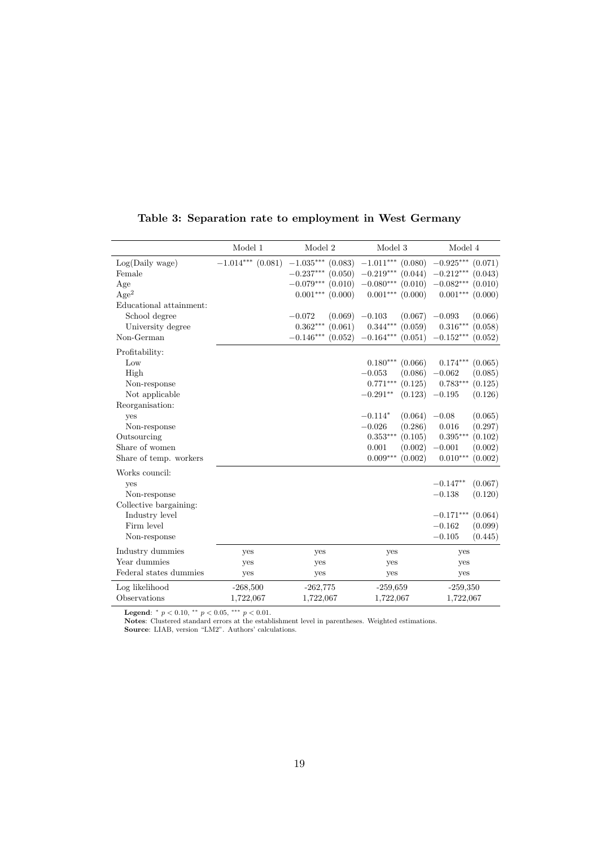|                         | Model 1             | Model 2                            | Model 3                           | Model 4                           |  |  |
|-------------------------|---------------------|------------------------------------|-----------------------------------|-----------------------------------|--|--|
| Log(Daily wage)         | $-1.014***$ (0.081) | $-1.035^{\ast\ast\ast}$<br>(0.083) | $-1.011***$ (0.080)               | $-0.925***$<br>(0.071)            |  |  |
| Female                  |                     | $-0.237***$<br>(0.050)             | $-0.219***$ (0.044)               | $-0.212***$<br>(0.043)            |  |  |
| Age                     |                     | $-0.079***$ (0.010)                | $-0.080***$ (0.010)               | $-0.082***$<br>(0.010)            |  |  |
| Age <sup>2</sup>        |                     | $0.001***$<br>(0.000)              | $0.001***$ $(0.000)$              | $0.001***$<br>(0.000)             |  |  |
| Educational attainment: |                     |                                    |                                   |                                   |  |  |
| School degree           |                     | $-0.072$<br>(0.069)                | $-0.103$<br>(0.067)               | (0.066)<br>$-0.093$               |  |  |
| University degree       |                     | $0.362***$<br>(0.061)              | $0.344***$<br>(0.059)             | $0.316***$<br>(0.058)             |  |  |
| Non-German              |                     | $-0.146***$<br>(0.052)             | $-0.164***$<br>(0.051)            | $-0.152***$<br>(0.052)            |  |  |
| Profitability:          |                     |                                    |                                   |                                   |  |  |
| Low                     |                     |                                    | $0.180***$<br>(0.066)             | $0.174***$<br>(0.065)             |  |  |
| High                    |                     |                                    | $-0.053$<br>(0.086)               | $-0.062$<br>(0.085)               |  |  |
| Non-response            |                     |                                    | $0.771***$<br>(0.125)             | $0.783***$<br>(0.125)             |  |  |
| Not applicable          |                     |                                    | $-0.291**$<br>(0.123)             | $-0.195$<br>(0.126)               |  |  |
| Reorganisation:         |                     |                                    |                                   |                                   |  |  |
| yes                     |                     |                                    | $-0.114*$<br>(0.064)              | $-0.08$<br>(0.065)                |  |  |
| Non-response            |                     |                                    | (0.286)<br>$-0.026$               | 0.016<br>(0.297)                  |  |  |
| Outsourcing             |                     |                                    | $0.353^{\ast\ast\ast}$<br>(0.105) | $0.395^{\ast\ast\ast}$<br>(0.102) |  |  |
| Share of women          |                     |                                    | 0.001<br>(0.002)                  | $-0.001$<br>(0.002)               |  |  |
| Share of temp. workers  |                     |                                    | $0.009***$<br>(0.002)             | $0.010***$<br>(0.002)             |  |  |
| Works council:          |                     |                                    |                                   |                                   |  |  |
| yes                     |                     |                                    |                                   | $-0.147**$<br>(0.067)             |  |  |
| Non-response            |                     |                                    |                                   | $-0.138$<br>(0.120)               |  |  |
| Collective bargaining:  |                     |                                    |                                   |                                   |  |  |
| Industry level          |                     |                                    |                                   | $-0.171***$<br>(0.064)            |  |  |
| Firm level              |                     |                                    |                                   | $-0.162$<br>(0.099)               |  |  |
| Non-response            |                     |                                    |                                   | $-0.105$<br>(0.445)               |  |  |
| Industry dummies        | yes                 | yes                                | yes                               | yes                               |  |  |
| Year dummies            | yes                 | yes                                | yes                               | yes                               |  |  |
| Federal states dummies  | yes                 | yes                                | yes                               | yes                               |  |  |
| Log likelihood          | $-268,500$          | $-262,775$                         | $-259,659$                        | $-259,350$                        |  |  |
| Observations            | 1,722,067           | 1,722,067                          | 1,722,067                         | 1,722,067                         |  |  |

#### Table 3: Separation rate to employment in West Germany

Legend:  $* p < 0.10, ** p < 0.05, *** p < 0.01.$ 

Notes: Clustered standard errors at the establishment level in parentheses. Weighted estimations. Source: LIAB, version "LM2". Authors' calculations.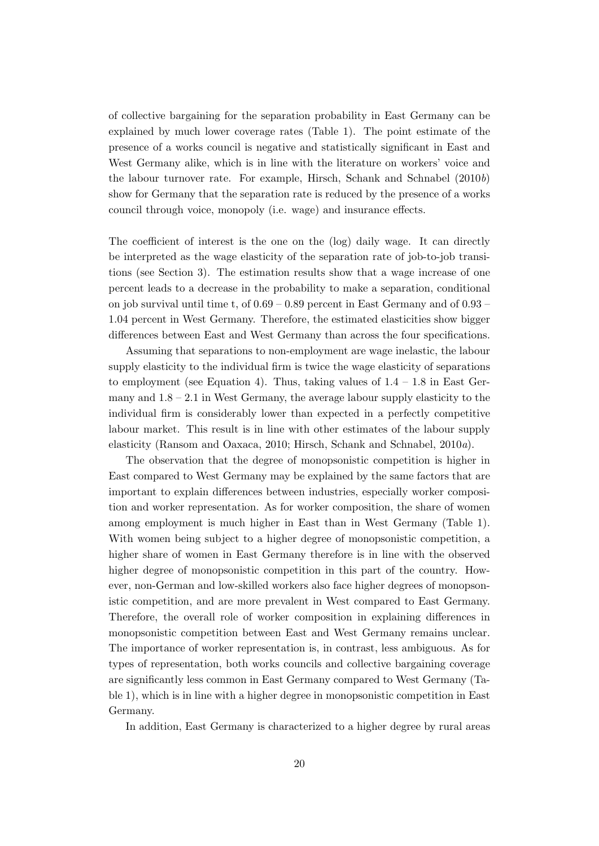of collective bargaining for the separation probability in East Germany can be explained by much lower coverage rates (Table 1). The point estimate of the presence of a works council is negative and statistically significant in East and West Germany alike, which is in line with the literature on workers' voice and the labour turnover rate. For example, Hirsch, Schank and Schnabel (2010b) show for Germany that the separation rate is reduced by the presence of a works council through voice, monopoly (i.e. wage) and insurance effects.

The coefficient of interest is the one on the (log) daily wage. It can directly be interpreted as the wage elasticity of the separation rate of job-to-job transitions (see Section 3). The estimation results show that a wage increase of one percent leads to a decrease in the probability to make a separation, conditional on job survival until time t, of 0.69 – 0.89 percent in East Germany and of 0.93 – 1.04 percent in West Germany. Therefore, the estimated elasticities show bigger differences between East and West Germany than across the four specifications.

Assuming that separations to non-employment are wage inelastic, the labour supply elasticity to the individual firm is twice the wage elasticity of separations to employment (see Equation 4). Thus, taking values of  $1.4 - 1.8$  in East Germany and 1.8 – 2.1 in West Germany, the average labour supply elasticity to the individual firm is considerably lower than expected in a perfectly competitive labour market. This result is in line with other estimates of the labour supply elasticity (Ransom and Oaxaca, 2010; Hirsch, Schank and Schnabel, 2010a).

The observation that the degree of monopsonistic competition is higher in East compared to West Germany may be explained by the same factors that are important to explain differences between industries, especially worker composition and worker representation. As for worker composition, the share of women among employment is much higher in East than in West Germany (Table 1). With women being subject to a higher degree of monopsonistic competition, a higher share of women in East Germany therefore is in line with the observed higher degree of monopsonistic competition in this part of the country. However, non-German and low-skilled workers also face higher degrees of monopsonistic competition, and are more prevalent in West compared to East Germany. Therefore, the overall role of worker composition in explaining differences in monopsonistic competition between East and West Germany remains unclear. The importance of worker representation is, in contrast, less ambiguous. As for types of representation, both works councils and collective bargaining coverage are significantly less common in East Germany compared to West Germany (Table 1), which is in line with a higher degree in monopsonistic competition in East Germany.

In addition, East Germany is characterized to a higher degree by rural areas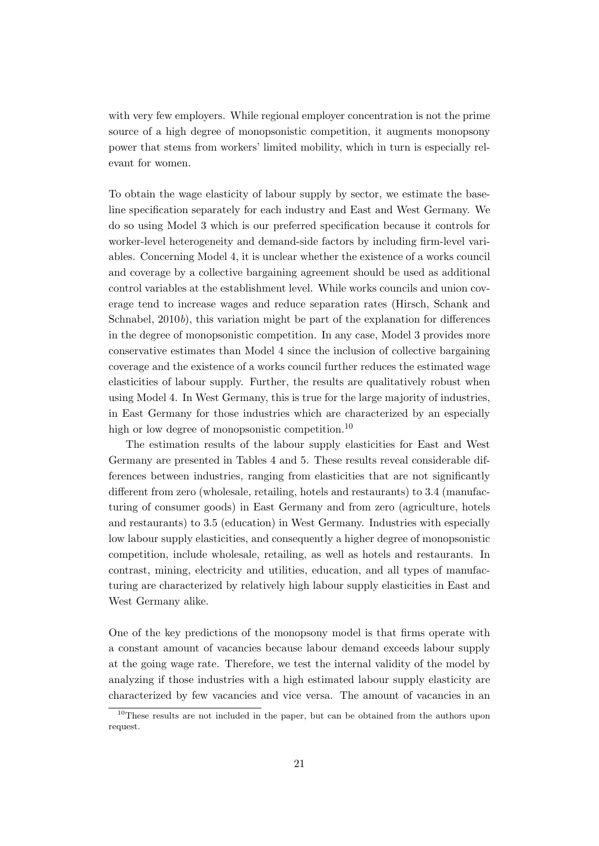with very few employers. While regional employer concentration is not the prime source of a high degree of monopsonistic competition, it augments monopsony power that stems from workers' limited mobility, which in turn is especially relevant for women.

To obtain the wage elasticity of labour supply by sector, we estimate the baseline specification separately for each industry and East and West Germany. We do so using Model 3 which is our preferred specification because it controls for worker-level heterogeneity and demand-side factors by including firm-level variables. Concerning Model 4, it is unclear whether the existence of a works council and coverage by a collective bargaining agreement should be used as additional control variables at the establishment level. While works councils and union coverage tend to increase wages and reduce separation rates (Hirsch, Schank and Schnabel, 2010b), this variation might be part of the explanation for differences in the degree of monopsonistic competition. In any case, Model 3 provides more conservative estimates than Model 4 since the inclusion of collective bargaining coverage and the existence of a works council further reduces the estimated wage elasticities of labour supply. Further, the results are qualitatively robust when using Model 4. In West Germany, this is true for the large majority of industries, in East Germany for those industries which are characterized by an especially high or low degree of monopsonistic competition.<sup>10</sup>

The estimation results of the labour supply elasticities for East and West Germany are presented in Tables 4 and 5. These results reveal considerable differences between industries, ranging from elasticities that are not significantly different from zero (wholesale, retailing, hotels and restaurants) to 3.4 (manufacturing of consumer goods) in East Germany and from zero (agriculture, hotels and restaurants) to 3.5 (education) in West Germany. Industries with especially low labour supply elasticities, and consequently a higher degree of monopsonistic competition, include wholesale, retailing, as well as hotels and restaurants. In contrast, mining, electricity and utilities, education, and all types of manufacturing are characterized by relatively high labour supply elasticities in East and West Germany alike.

One of the key predictions of the monopsony model is that firms operate with a constant amount of vacancies because labour demand exceeds labour supply at the going wage rate. Therefore, we test the internal validity of the model by analyzing if those industries with a high estimated labour supply elasticity are characterized by few vacancies and vice versa. The amount of vacancies in an

<sup>10</sup>These results are not included in the paper, but can be obtained from the authors upon request.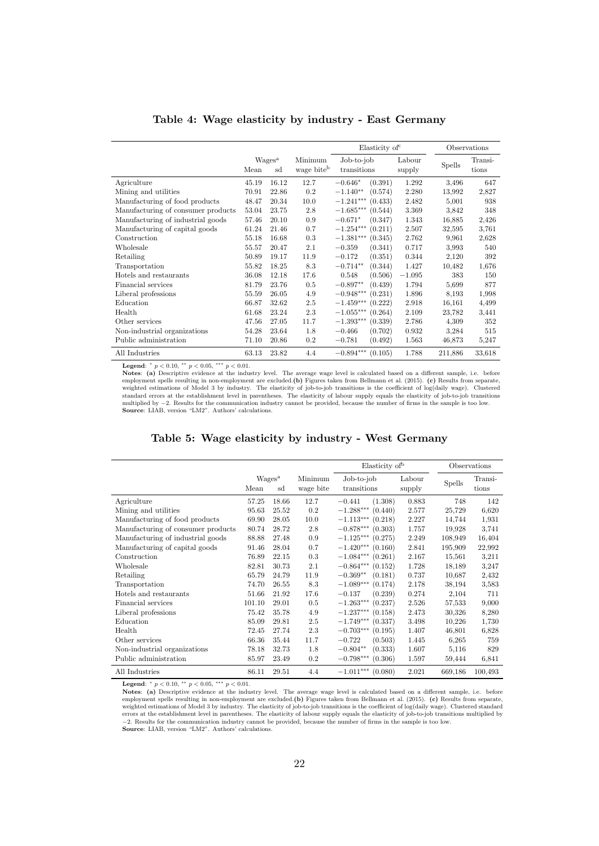|                                    |       |                          |                                   | Elasticity of             |                  |               | Observations     |
|------------------------------------|-------|--------------------------|-----------------------------------|---------------------------|------------------|---------------|------------------|
|                                    | Mean  | Wages <sup>a</sup><br>sd | Minimum<br>wage bite <sup>b</sup> | Job-to-job<br>transitions | Labour<br>supply | <b>Spells</b> | Transi-<br>tions |
| Agriculture                        | 45.19 | 16.12                    | 12.7                              | $-0.646*$<br>(0.391)      | 1.292            | 3.496         | 647              |
| Mining and utilities               | 70.91 | 22.86                    | 0.2                               | $-1.140**$<br>(0.574)     | 2.280            | 13,992        | 2,827            |
| Manufacturing of food products     | 48.47 | 20.34                    | 10.0                              | $-1.241***$<br>(0.433)    | 2.482            | 5,001         | 938              |
| Manufacturing of consumer products | 53.04 | 23.75                    | 2.8                               | $-1.685***$<br>(0.544)    | 3.369            | 3,842         | 348              |
| Manufacturing of industrial goods  | 57.46 | 20.10                    | 0.9                               | $-0.671*$<br>(0.347)      | 1.343            | 16,885        | 2,426            |
| Manufacturing of capital goods     | 61.24 | 21.46                    | 0.7                               | $-1.254***$<br>(0.211)    | 2.507            | 32,595        | 3.761            |
| Construction                       | 55.18 | 16.68                    | 0.3                               | (0.345)<br>$-1.381***$    | 2.762            | 9.961         | 2,628            |
| Wholesale                          | 55.57 | 20.47                    | 2.1                               | (0.341)<br>$-0.359$       | 0.717            | 3.993         | 540              |
| Retailing                          | 50.89 | 19.17                    | 11.9                              | (0.351)<br>$-0.172$       | 0.344            | 2,120         | 392              |
| Transportation                     | 55.82 | 18.25                    | 8.3                               | (0.344)<br>$-0.714**$     | 1.427            | 10,482        | 1,676            |
| Hotels and restaurants             | 36.08 | 12.18                    | 17.6                              | 0.548<br>(0.506)          | $-1.095$         | 383           | 150              |
| Financial services                 | 81.79 | 23.76                    | 0.5                               | $-0.897**$<br>(0.439)     | 1.794            | 5,699         | 877              |
| Liberal professions                | 55.59 | 26.05                    | 4.9                               | $-0.948***$<br>(0.231)    | 1.896            | 8.193         | 1,998            |
| Education                          | 66.87 | 32.62                    | 2.5                               | $-1.459***$<br>(0.222)    | 2.918            | 16,161        | 4,499            |
| Health                             | 61.68 | 23.24                    | 2.3                               | $-1.055***$<br>(0.264)    | 2.109            | 23,782        | 3,441            |
| Other services                     | 47.56 | 27.05                    | 11.7                              | $-1.393***$<br>(0.339)    | 2.786            | 4,309         | 352              |
| Non-industrial organizations       | 54.28 | 23.64                    | 1.8                               | $-0.466$<br>(0.702)       | 0.932            | 3,284         | 515              |
| Public administration              | 71.10 | 20.86                    | 0.2                               | $-0.781$<br>(0.492)       | 1.563            | 46,873        | 5,247            |
| All Industries                     | 63.13 | 23.82                    | 4.4                               | $-0.894***$<br>(0.105)    | 1.788            | 211,886       | 33,618           |

Table 4: Wage elasticity by industry - East Germany

**Legend:** \*  $p < 0.10$ , \*\*  $p < 0.05$ , \*\*\*  $p < 0.01$ .<br>Notes: (a) Descriptive evidence at the industry level. The average wage level is calculated based on a different sample, i.e. before employment spells resulting in non-employment are excluded.(b) Figures taken from Bellmann et al. (2015). (c) Results from separate, weighted estimations of Model 3 by industry. The elasticity of job-to-job transitions is Source: LIAB, version "LM2". Authors' calculations.

| Table 5: Wage elasticity by industry - West Germany |  |
|-----------------------------------------------------|--|
|-----------------------------------------------------|--|

|                                    |        |                          |                      | Elasticity of <sup>b</sup>  |                  |         | Observations     |
|------------------------------------|--------|--------------------------|----------------------|-----------------------------|------------------|---------|------------------|
|                                    | Mean   | Wages <sup>a</sup><br>sd | Minimum<br>wage bite | $Job-to-job$<br>transitions | Labour<br>supply | Spells  | Transi-<br>tions |
| Agriculture                        | 57.25  | 18.66                    | 12.7                 | $-0.441$<br>(1.308)         | 0.883            | 748     | 142              |
| Mining and utilities               | 95.63  | 25.52                    | 0.2                  | $-1.288***$<br>(0.440)      | 2.577            | 25,729  | 6,620            |
| Manufacturing of food products     | 69.90  | 28.05                    | 10.0                 | $-1.113***$ (0.218)         | 2.227            | 14,744  | 1,931            |
| Manufacturing of consumer products | 80.74  | 28.72                    | 2.8                  | $-0.878***$<br>(0.303)      | 1.757            | 19,928  | 3,741            |
| Manufacturing of industrial goods  | 88.88  | 27.48                    | 0.9                  | $-1.125***$<br>(0.275)      | 2.249            | 108,949 | 16,404           |
| Manufacturing of capital goods     | 91.46  | 28.04                    | 0.7                  | $-1.420***$<br>(0.160)      | 2.841            | 195,909 | 22,992           |
| Construction                       | 76.89  | 22.15                    | 0.3                  | $-1.084***$<br>(0.261)      | 2.167            | 15,561  | 3,211            |
| Wholesale                          | 82.81  | 30.73                    | 2.1                  | $-0.864***$<br>(0.152)      | 1.728            | 18,189  | 3,247            |
| Retailing                          | 65.79  | 24.79                    | 11.9                 | $-0.369**$<br>(0.181)       | 0.737            | 10,687  | 2,432            |
| Transportation                     | 74.70  | 26.55                    | 8.3                  | $-1.089***$<br>(0.174)      | 2.178            | 38,194  | 3.583            |
| Hotels and restaurants             | 51.66  | 21.92                    | 17.6                 | $-0.137$<br>(0.239)         | 0.274            | 2,104   | 711              |
| Financial services                 | 101.10 | 29.01                    | 0.5                  | $-1.263***$<br>(0.237)      | 2.526            | 57,533  | 9,000            |
| Liberal professions                | 75.42  | 35.78                    | 4.9                  | $-1.237***$<br>(0.158)      | 2.473            | 30,326  | 8,280            |
| Education                          | 85.09  | 29.81                    | 2.5                  | $-1.749***$<br>(0.337)      | 3.498            | 10,226  | 1,730            |
| Health                             | 72.45  | 27.74                    | 2.3                  | $-0.703***$<br>(0.195)      | 1.407            | 46,801  | 6,828            |
| Other services                     | 66.36  | 35.44                    | 11.7                 | (0.503)<br>$-0.722$         | 1.445            | 6,265   | 759              |
| Non-industrial organizations       | 78.18  | 32.73                    | 1.8                  | $-0.804**$<br>(0.333)       | 1.607            | 5,116   | 829              |
| Public administration              | 85.97  | 23.49                    | 0.2                  | $-0.798***$<br>(0.306)      | 1.597            | 59,444  | 6,841            |
| All Industries                     | 86.11  | 29.51                    | 4.4                  | $-1.011***$<br>(0.080)      | 2.021            | 669,186 | 100,493          |

**Legend:**  $* p < 0.10, ** p < 0.05, *** p < 0.01$ .<br>**Notes:** (a) Descriptive evidence at the industry level. The average wage level is calculated based on a different sample, i.e. before employment spells resulting in non-employment are excluded.(b) Figures taken from Bellmann et al. (2015). (c) Results from separate, weighted estimations of Model 3 by industry. The elasticity of job-to-job transitions is the coefficient of log(daily wage). Clustered standard errors at the establishment level in parentheses. The elasticity of labour su Source: LIAB, version "LM2". Authors' calculations.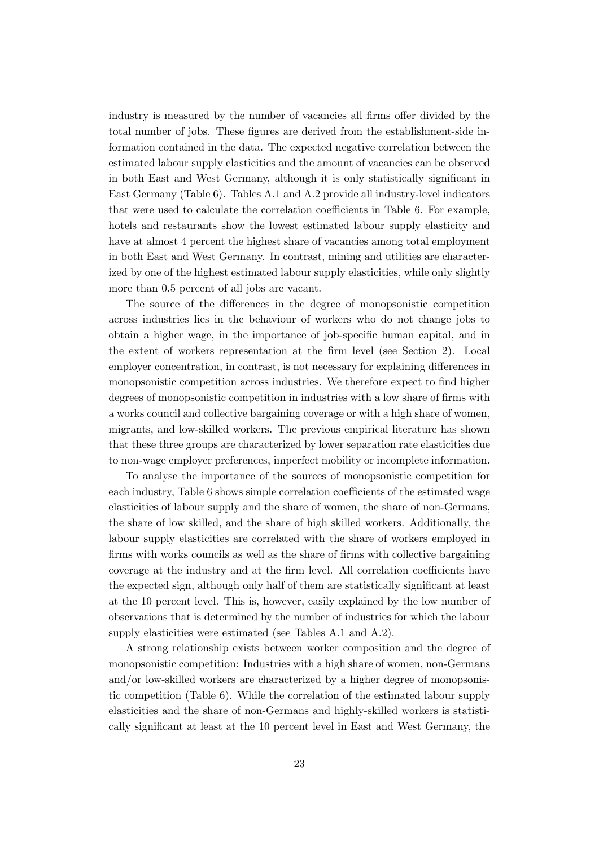industry is measured by the number of vacancies all firms offer divided by the total number of jobs. These figures are derived from the establishment-side information contained in the data. The expected negative correlation between the estimated labour supply elasticities and the amount of vacancies can be observed in both East and West Germany, although it is only statistically significant in East Germany (Table 6). Tables A.1 and A.2 provide all industry-level indicators that were used to calculate the correlation coefficients in Table 6. For example, hotels and restaurants show the lowest estimated labour supply elasticity and have at almost 4 percent the highest share of vacancies among total employment in both East and West Germany. In contrast, mining and utilities are characterized by one of the highest estimated labour supply elasticities, while only slightly more than 0.5 percent of all jobs are vacant.

The source of the differences in the degree of monopsonistic competition across industries lies in the behaviour of workers who do not change jobs to obtain a higher wage, in the importance of job-specific human capital, and in the extent of workers representation at the firm level (see Section 2). Local employer concentration, in contrast, is not necessary for explaining differences in monopsonistic competition across industries. We therefore expect to find higher degrees of monopsonistic competition in industries with a low share of firms with a works council and collective bargaining coverage or with a high share of women, migrants, and low-skilled workers. The previous empirical literature has shown that these three groups are characterized by lower separation rate elasticities due to non-wage employer preferences, imperfect mobility or incomplete information.

To analyse the importance of the sources of monopsonistic competition for each industry, Table 6 shows simple correlation coefficients of the estimated wage elasticities of labour supply and the share of women, the share of non-Germans, the share of low skilled, and the share of high skilled workers. Additionally, the labour supply elasticities are correlated with the share of workers employed in firms with works councils as well as the share of firms with collective bargaining coverage at the industry and at the firm level. All correlation coefficients have the expected sign, although only half of them are statistically significant at least at the 10 percent level. This is, however, easily explained by the low number of observations that is determined by the number of industries for which the labour supply elasticities were estimated (see Tables A.1 and A.2).

A strong relationship exists between worker composition and the degree of monopsonistic competition: Industries with a high share of women, non-Germans and/or low-skilled workers are characterized by a higher degree of monopsonistic competition (Table 6). While the correlation of the estimated labour supply elasticities and the share of non-Germans and highly-skilled workers is statistically significant at least at the 10 percent level in East and West Germany, the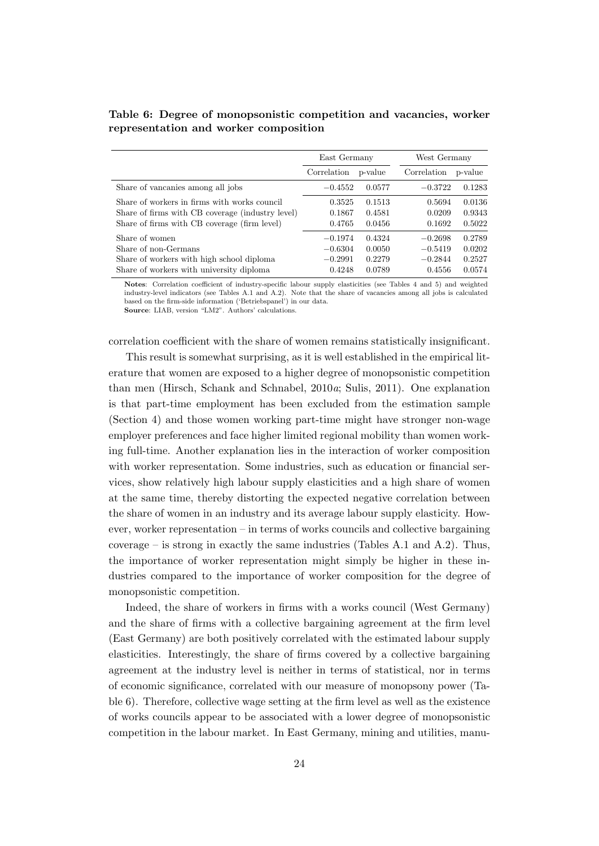|                                                                                                                                                  | East Germany                                  |                                      | West Germany                                  |                                      |  |
|--------------------------------------------------------------------------------------------------------------------------------------------------|-----------------------------------------------|--------------------------------------|-----------------------------------------------|--------------------------------------|--|
|                                                                                                                                                  | Correlation                                   | p-value                              | Correlation                                   | p-value                              |  |
| Share of vancanies among all jobs                                                                                                                | $-0.4552$                                     | 0.0577                               | $-0.3722$                                     | 0.1283                               |  |
| Share of workers in firms with works council<br>Share of firms with CB coverage (industry level)<br>Share of firms with CB coverage (firm level) | 0.3525<br>0.1867<br>0.4765                    | 0.1513<br>0.4581<br>0.0456           | 0.5694<br>0.0209<br>0.1692                    | 0.0136<br>0.9343<br>0.5022           |  |
| Share of women<br>Share of non-Germans<br>Share of workers with high school diploma<br>Share of workers with university diploma                  | $-0.1974$<br>$-0.6304$<br>$-0.2991$<br>0.4248 | 0.4324<br>0.0050<br>0.2279<br>0.0789 | $-0.2698$<br>$-0.5419$<br>$-0.2844$<br>0.4556 | 0.2789<br>0.0202<br>0.2527<br>0.0574 |  |

Table 6: Degree of monopsonistic competition and vacancies, worker representation and worker composition

Notes: Correlation coefficient of industry-specific labour supply elasticities (see Tables 4 and 5) and weighted industry-level indicators (see Tables A.1 and A.2). Note that the share of vacancies among all jobs is calculated based on the firm-side information ('Betriebspanel') in our data. Source: LIAB, version "LM2". Authors' calculations.

correlation coefficient with the share of women remains statistically insignificant.

This result is somewhat surprising, as it is well established in the empirical literature that women are exposed to a higher degree of monopsonistic competition than men (Hirsch, Schank and Schnabel, 2010a; Sulis, 2011). One explanation is that part-time employment has been excluded from the estimation sample (Section 4) and those women working part-time might have stronger non-wage employer preferences and face higher limited regional mobility than women working full-time. Another explanation lies in the interaction of worker composition with worker representation. Some industries, such as education or financial services, show relatively high labour supply elasticities and a high share of women at the same time, thereby distorting the expected negative correlation between the share of women in an industry and its average labour supply elasticity. However, worker representation – in terms of works councils and collective bargaining coverage – is strong in exactly the same industries (Tables A.1 and A.2). Thus, the importance of worker representation might simply be higher in these industries compared to the importance of worker composition for the degree of monopsonistic competition.

Indeed, the share of workers in firms with a works council (West Germany) and the share of firms with a collective bargaining agreement at the firm level (East Germany) are both positively correlated with the estimated labour supply elasticities. Interestingly, the share of firms covered by a collective bargaining agreement at the industry level is neither in terms of statistical, nor in terms of economic significance, correlated with our measure of monopsony power (Table 6). Therefore, collective wage setting at the firm level as well as the existence of works councils appear to be associated with a lower degree of monopsonistic competition in the labour market. In East Germany, mining and utilities, manu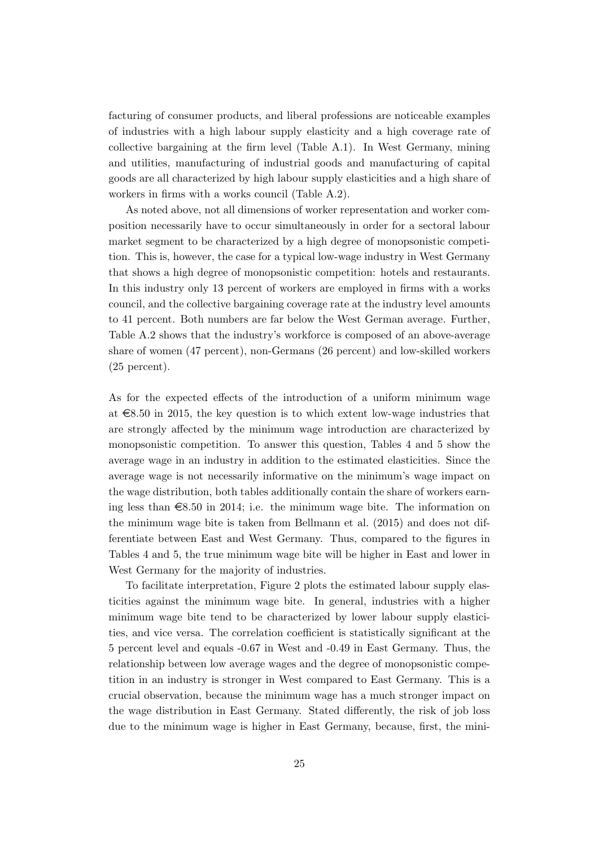facturing of consumer products, and liberal professions are noticeable examples of industries with a high labour supply elasticity and a high coverage rate of collective bargaining at the firm level (Table A.1). In West Germany, mining and utilities, manufacturing of industrial goods and manufacturing of capital goods are all characterized by high labour supply elasticities and a high share of workers in firms with a works council (Table A.2).

As noted above, not all dimensions of worker representation and worker composition necessarily have to occur simultaneously in order for a sectoral labour market segment to be characterized by a high degree of monopsonistic competition. This is, however, the case for a typical low-wage industry in West Germany that shows a high degree of monopsonistic competition: hotels and restaurants. In this industry only 13 percent of workers are employed in firms with a works council, and the collective bargaining coverage rate at the industry level amounts to 41 percent. Both numbers are far below the West German average. Further, Table A.2 shows that the industry's workforce is composed of an above-average share of women (47 percent), non-Germans (26 percent) and low-skilled workers (25 percent).

As for the expected effects of the introduction of a uniform minimum wage at  $\epsilon$ 8.50 in 2015, the key question is to which extent low-wage industries that are strongly affected by the minimum wage introduction are characterized by monopsonistic competition. To answer this question, Tables 4 and 5 show the average wage in an industry in addition to the estimated elasticities. Since the average wage is not necessarily informative on the minimum's wage impact on the wage distribution, both tables additionally contain the share of workers earning less than  $\epsilon$ 8.50 in 2014; i.e. the minimum wage bite. The information on the minimum wage bite is taken from Bellmann et al. (2015) and does not differentiate between East and West Germany. Thus, compared to the figures in Tables 4 and 5, the true minimum wage bite will be higher in East and lower in West Germany for the majority of industries.

To facilitate interpretation, Figure 2 plots the estimated labour supply elasticities against the minimum wage bite. In general, industries with a higher minimum wage bite tend to be characterized by lower labour supply elasticities, and vice versa. The correlation coefficient is statistically significant at the 5 percent level and equals -0.67 in West and -0.49 in East Germany. Thus, the relationship between low average wages and the degree of monopsonistic competition in an industry is stronger in West compared to East Germany. This is a crucial observation, because the minimum wage has a much stronger impact on the wage distribution in East Germany. Stated differently, the risk of job loss due to the minimum wage is higher in East Germany, because, first, the mini-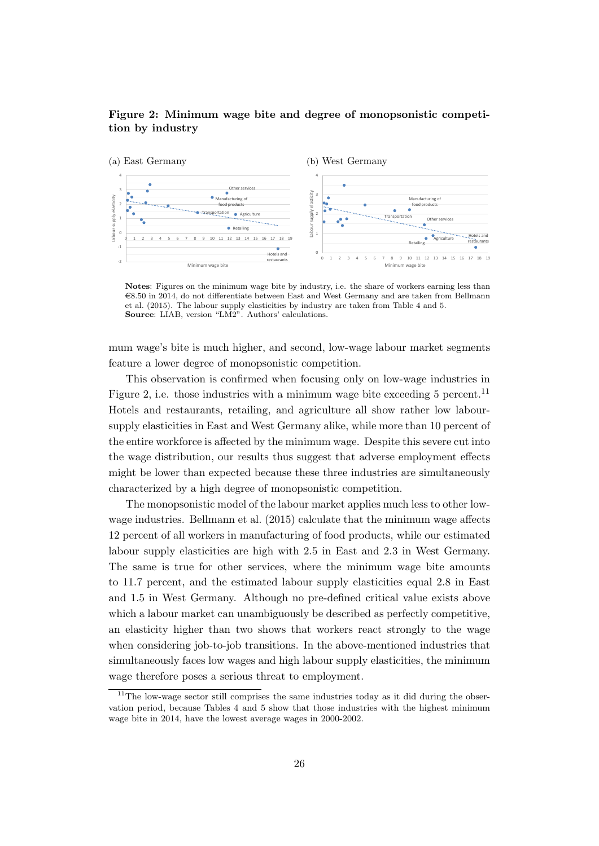#### Figure 2: Minimum wage bite and degree of monopsonistic competition by industry



Notes: Figures on the minimum wage bite by industry, i.e. the share of workers earning less than  $\epsilon$ 8.50 in 2014, do not differentiate between East and West Germany and are taken from Bellmann et al. (2015). The labour supply elasticities by industry are taken from Table 4 and 5. Source: LIAB, version "LM2". Authors' calculations.

mum wage's bite is much higher, and second, low-wage labour market segments feature a lower degree of monopsonistic competition.

This observation is confirmed when focusing only on low-wage industries in Figure 2, i.e. those industries with a minimum wage bite exceeding 5 percent.<sup>11</sup> Hotels and restaurants, retailing, and agriculture all show rather low laboursupply elasticities in East and West Germany alike, while more than 10 percent of the entire workforce is affected by the minimum wage. Despite this severe cut into the wage distribution, our results thus suggest that adverse employment effects might be lower than expected because these three industries are simultaneously characterized by a high degree of monopsonistic competition.

The monopsonistic model of the labour market applies much less to other lowwage industries. Bellmann et al. (2015) calculate that the minimum wage affects 12 percent of all workers in manufacturing of food products, while our estimated labour supply elasticities are high with 2.5 in East and 2.3 in West Germany. The same is true for other services, where the minimum wage bite amounts to 11.7 percent, and the estimated labour supply elasticities equal 2.8 in East and 1.5 in West Germany. Although no pre-defined critical value exists above which a labour market can unambiguously be described as perfectly competitive, an elasticity higher than two shows that workers react strongly to the wage when considering job-to-job transitions. In the above-mentioned industries that simultaneously faces low wages and high labour supply elasticities, the minimum wage therefore poses a serious threat to employment.

<sup>&</sup>lt;sup>11</sup>The low-wage sector still comprises the same industries today as it did during the observation period, because Tables 4 and 5 show that those industries with the highest minimum wage bite in 2014, have the lowest average wages in 2000-2002.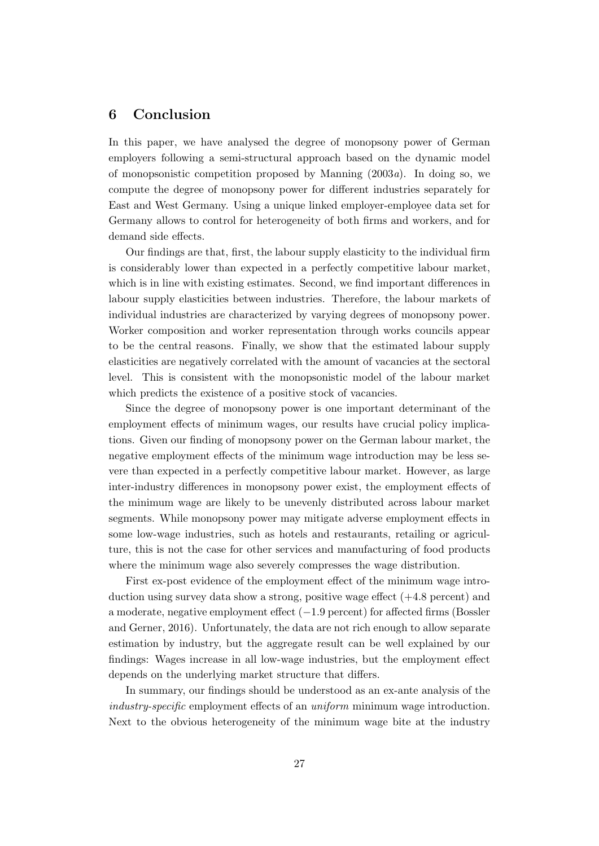#### 6 Conclusion

In this paper, we have analysed the degree of monopsony power of German employers following a semi-structural approach based on the dynamic model of monopsonistic competition proposed by Manning  $(2003a)$ . In doing so, we compute the degree of monopsony power for different industries separately for East and West Germany. Using a unique linked employer-employee data set for Germany allows to control for heterogeneity of both firms and workers, and for demand side effects.

Our findings are that, first, the labour supply elasticity to the individual firm is considerably lower than expected in a perfectly competitive labour market, which is in line with existing estimates. Second, we find important differences in labour supply elasticities between industries. Therefore, the labour markets of individual industries are characterized by varying degrees of monopsony power. Worker composition and worker representation through works councils appear to be the central reasons. Finally, we show that the estimated labour supply elasticities are negatively correlated with the amount of vacancies at the sectoral level. This is consistent with the monopsonistic model of the labour market which predicts the existence of a positive stock of vacancies.

Since the degree of monopsony power is one important determinant of the employment effects of minimum wages, our results have crucial policy implications. Given our finding of monopsony power on the German labour market, the negative employment effects of the minimum wage introduction may be less severe than expected in a perfectly competitive labour market. However, as large inter-industry differences in monopsony power exist, the employment effects of the minimum wage are likely to be unevenly distributed across labour market segments. While monopsony power may mitigate adverse employment effects in some low-wage industries, such as hotels and restaurants, retailing or agriculture, this is not the case for other services and manufacturing of food products where the minimum wage also severely compresses the wage distribution.

First ex-post evidence of the employment effect of the minimum wage introduction using survey data show a strong, positive wage effect (+4.8 percent) and a moderate, negative employment effect (−1.9 percent) for affected firms (Bossler and Gerner, 2016). Unfortunately, the data are not rich enough to allow separate estimation by industry, but the aggregate result can be well explained by our findings: Wages increase in all low-wage industries, but the employment effect depends on the underlying market structure that differs.

In summary, our findings should be understood as an ex-ante analysis of the industry-specific employment effects of an uniform minimum wage introduction. Next to the obvious heterogeneity of the minimum wage bite at the industry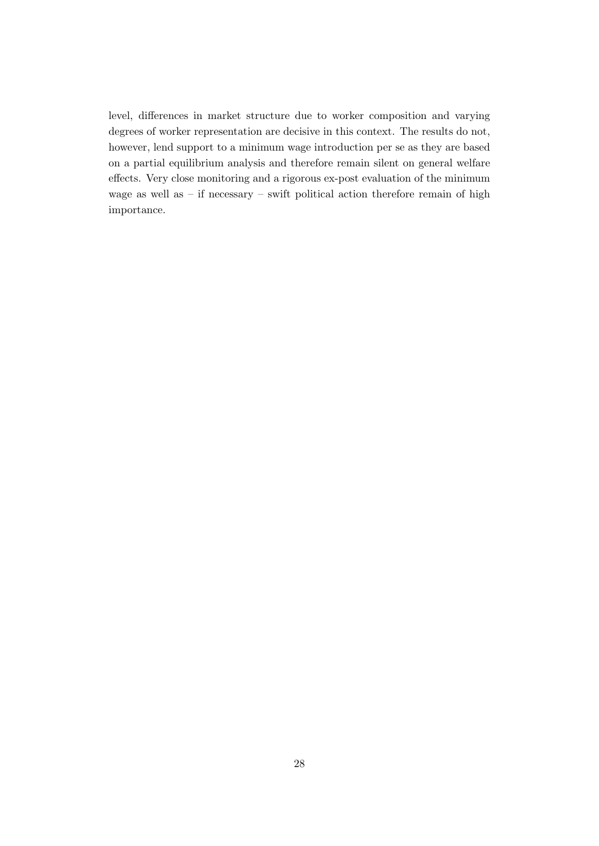level, differences in market structure due to worker composition and varying degrees of worker representation are decisive in this context. The results do not, however, lend support to a minimum wage introduction per se as they are based on a partial equilibrium analysis and therefore remain silent on general welfare effects. Very close monitoring and a rigorous ex-post evaluation of the minimum wage as well as – if necessary – swift political action therefore remain of high importance.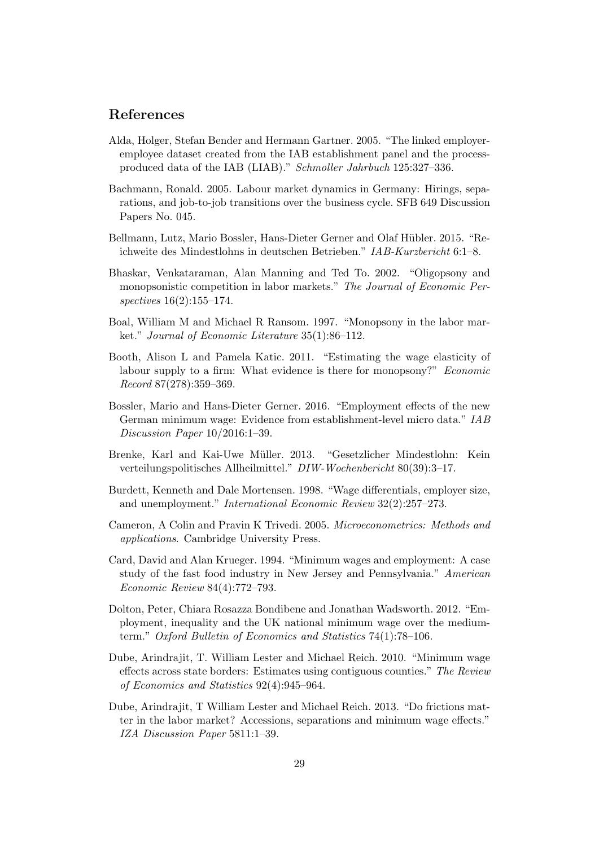#### References

- Alda, Holger, Stefan Bender and Hermann Gartner. 2005. "The linked employeremployee dataset created from the IAB establishment panel and the processproduced data of the IAB (LIAB)." Schmoller Jahrbuch 125:327–336.
- Bachmann, Ronald. 2005. Labour market dynamics in Germany: Hirings, separations, and job-to-job transitions over the business cycle. SFB 649 Discussion Papers No. 045.
- Bellmann, Lutz, Mario Bossler, Hans-Dieter Gerner and Olaf Hübler. 2015. "Reichweite des Mindestlohns in deutschen Betrieben." IAB-Kurzbericht 6:1–8.
- Bhaskar, Venkataraman, Alan Manning and Ted To. 2002. "Oligopsony and monopsonistic competition in labor markets." The Journal of Economic Perspectives 16(2):155–174.
- Boal, William M and Michael R Ransom. 1997. "Monopsony in the labor market." Journal of Economic Literature 35(1):86–112.
- Booth, Alison L and Pamela Katic. 2011. "Estimating the wage elasticity of labour supply to a firm: What evidence is there for monopsony?" Economic Record 87(278):359–369.
- Bossler, Mario and Hans-Dieter Gerner. 2016. "Employment effects of the new German minimum wage: Evidence from establishment-level micro data." IAB Discussion Paper 10/2016:1–39.
- Brenke, Karl and Kai-Uwe M¨uller. 2013. "Gesetzlicher Mindestlohn: Kein verteilungspolitisches Allheilmittel." DIW-Wochenbericht 80(39):3–17.
- Burdett, Kenneth and Dale Mortensen. 1998. "Wage differentials, employer size, and unemployment." International Economic Review 32(2):257–273.
- Cameron, A Colin and Pravin K Trivedi. 2005. Microeconometrics: Methods and applications. Cambridge University Press.
- Card, David and Alan Krueger. 1994. "Minimum wages and employment: A case study of the fast food industry in New Jersey and Pennsylvania." American Economic Review 84(4):772–793.
- Dolton, Peter, Chiara Rosazza Bondibene and Jonathan Wadsworth. 2012. "Employment, inequality and the UK national minimum wage over the mediumterm." Oxford Bulletin of Economics and Statistics 74(1):78–106.
- Dube, Arindrajit, T. William Lester and Michael Reich. 2010. "Minimum wage effects across state borders: Estimates using contiguous counties." The Review of Economics and Statistics 92(4):945–964.
- Dube, Arindrajit, T William Lester and Michael Reich. 2013. "Do frictions matter in the labor market? Accessions, separations and minimum wage effects." IZA Discussion Paper 5811:1–39.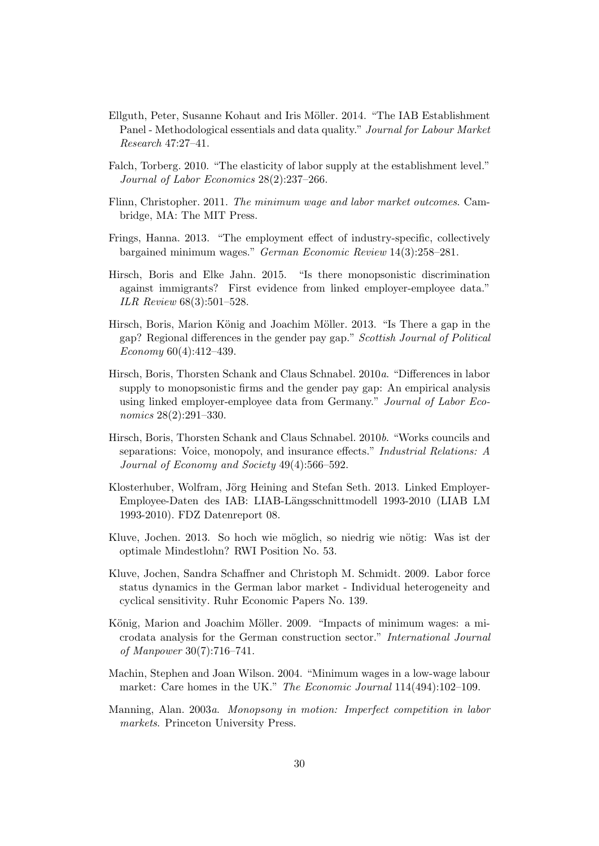- Ellguth, Peter, Susanne Kohaut and Iris Möller. 2014. "The IAB Establishment Panel - Methodological essentials and data quality." Journal for Labour Market Research 47:27–41.
- Falch, Torberg. 2010. "The elasticity of labor supply at the establishment level." Journal of Labor Economics 28(2):237–266.
- Flinn, Christopher. 2011. The minimum wage and labor market outcomes. Cambridge, MA: The MIT Press.
- Frings, Hanna. 2013. "The employment effect of industry-specific, collectively bargained minimum wages." German Economic Review 14(3):258–281.
- Hirsch, Boris and Elke Jahn. 2015. "Is there monopsonistic discrimination against immigrants? First evidence from linked employer-employee data." ILR Review 68(3):501–528.
- Hirsch, Boris, Marion König and Joachim Möller. 2013. "Is There a gap in the gap? Regional differences in the gender pay gap." Scottish Journal of Political Economy 60(4):412–439.
- Hirsch, Boris, Thorsten Schank and Claus Schnabel. 2010a. "Differences in labor supply to monopsonistic firms and the gender pay gap: An empirical analysis using linked employer-employee data from Germany." Journal of Labor Economics 28(2):291–330.
- Hirsch, Boris, Thorsten Schank and Claus Schnabel. 2010b. "Works councils and separations: Voice, monopoly, and insurance effects." Industrial Relations: A Journal of Economy and Society 49(4):566–592.
- Klosterhuber, Wolfram, Jörg Heining and Stefan Seth. 2013. Linked Employer-Employee-Daten des IAB: LIAB-L¨angsschnittmodell 1993-2010 (LIAB LM 1993-2010). FDZ Datenreport 08.
- Kluve, Jochen. 2013. So hoch wie möglich, so niedrig wie nötig: Was ist der optimale Mindestlohn? RWI Position No. 53.
- Kluve, Jochen, Sandra Schaffner and Christoph M. Schmidt. 2009. Labor force status dynamics in the German labor market - Individual heterogeneity and cyclical sensitivity. Ruhr Economic Papers No. 139.
- König, Marion and Joachim Möller. 2009. "Impacts of minimum wages: a microdata analysis for the German construction sector." International Journal of Manpower 30(7):716–741.
- Machin, Stephen and Joan Wilson. 2004. "Minimum wages in a low-wage labour market: Care homes in the UK." The Economic Journal 114(494):102-109.
- Manning, Alan. 2003a. Monopsony in motion: Imperfect competition in labor markets. Princeton University Press.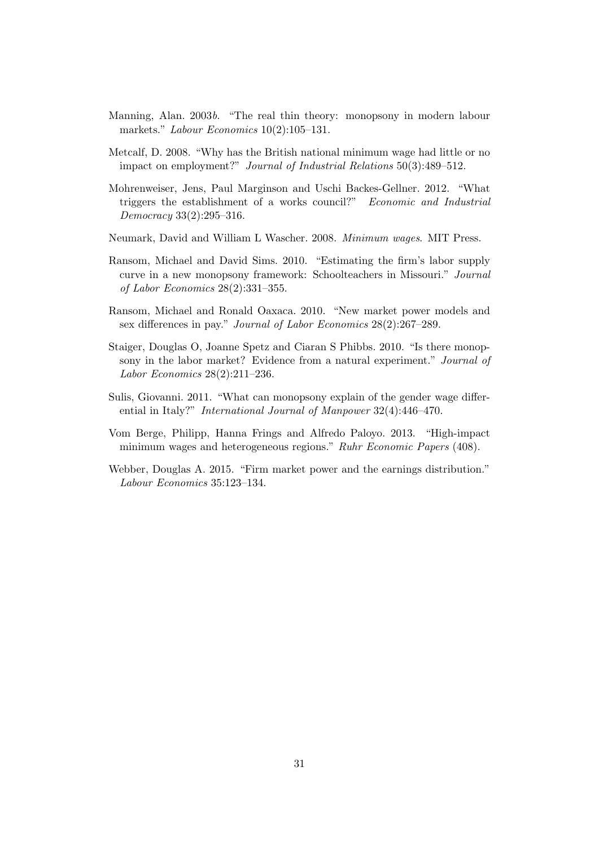- Manning, Alan. 2003b. "The real thin theory: monopsony in modern labour markets." Labour Economics 10(2):105-131.
- Metcalf, D. 2008. "Why has the British national minimum wage had little or no impact on employment?" Journal of Industrial Relations 50(3):489–512.
- Mohrenweiser, Jens, Paul Marginson and Uschi Backes-Gellner. 2012. "What triggers the establishment of a works council?" Economic and Industrial Democracy 33(2):295–316.
- Neumark, David and William L Wascher. 2008. Minimum wages. MIT Press.
- Ransom, Michael and David Sims. 2010. "Estimating the firm's labor supply curve in a new monopsony framework: Schoolteachers in Missouri." Journal of Labor Economics 28(2):331–355.
- Ransom, Michael and Ronald Oaxaca. 2010. "New market power models and sex differences in pay." Journal of Labor Economics 28(2):267–289.
- Staiger, Douglas O, Joanne Spetz and Ciaran S Phibbs. 2010. "Is there monopsony in the labor market? Evidence from a natural experiment." Journal of Labor Economics 28(2):211–236.
- Sulis, Giovanni. 2011. "What can monopsony explain of the gender wage differential in Italy?" International Journal of Manpower 32(4):446–470.
- Vom Berge, Philipp, Hanna Frings and Alfredo Paloyo. 2013. "High-impact minimum wages and heterogeneous regions." Ruhr Economic Papers (408).
- Webber, Douglas A. 2015. "Firm market power and the earnings distribution." Labour Economics 35:123–134.